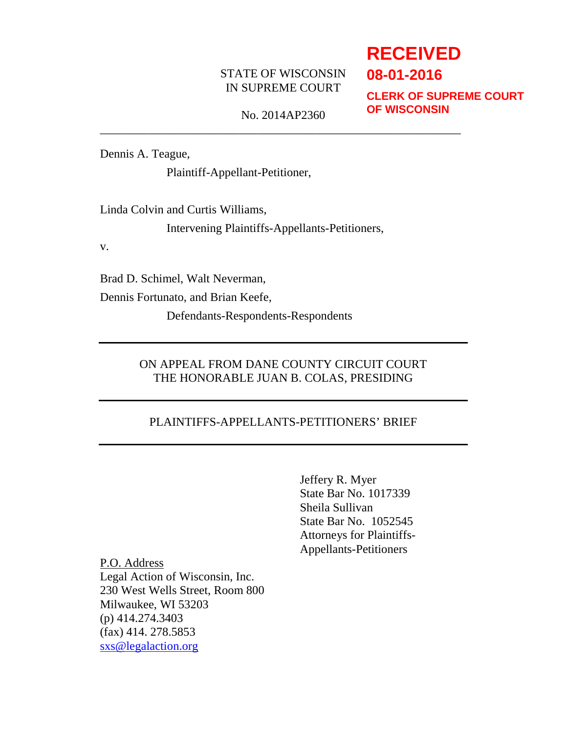## STATE OF WISCONSIN IN SUPREME COURT

# **RECEIVED 08-01-2016**

**CLERK OF SUPREME COURT OF WISCONSIN**

No. 2014AP2360 \_\_\_\_\_\_\_\_\_\_\_\_\_\_\_\_\_\_\_\_\_\_\_\_\_\_\_\_\_\_\_\_\_\_\_\_\_\_\_\_\_\_\_\_\_\_\_\_\_\_\_\_\_\_\_\_\_\_\_\_

Dennis A. Teague,

Plaintiff-Appellant-Petitioner,

Linda Colvin and Curtis Williams,

Intervening Plaintiffs-Appellants-Petitioners,

v.

Brad D. Schimel, Walt Neverman,

Dennis Fortunato, and Brian Keefe,

Defendants-Respondents-Respondents

## ON APPEAL FROM DANE COUNTY CIRCUIT COURT THE HONORABLE JUAN B. COLAS, PRESIDING

## PLAINTIFFS-APPELLANTS-PETITIONERS' BRIEF

Jeffery R. Myer State Bar No. 1017339 Sheila Sullivan State Bar No. 1052545 Attorneys for Plaintiffs-Appellants-Petitioners

P.O. Address Legal Action of Wisconsin, Inc. 230 West Wells Street, Room 800 Milwaukee, WI 53203 (p) 414.274.3403 (fax) 414. 278.5853 [sxs@legalaction.org](mailto:sxs@legalaction.org)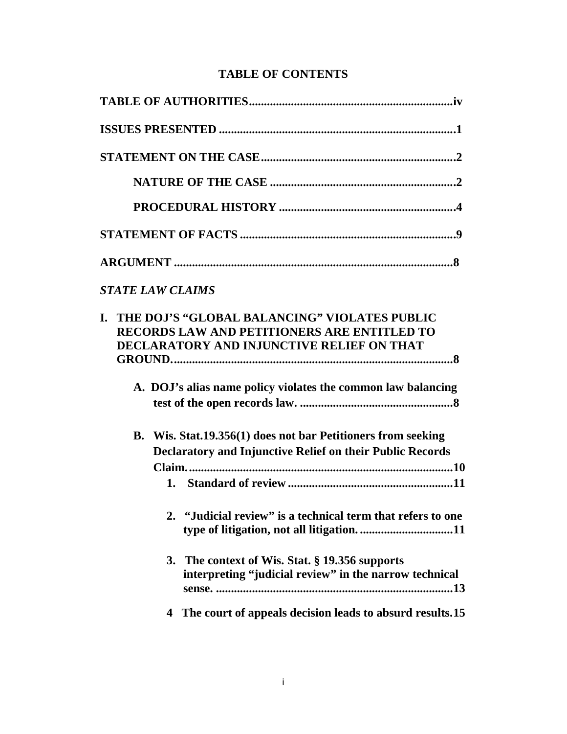# **TABLE OF CONTENTS**

| <b>STATE LAW CLAIMS</b>                                                                                                                               |
|-------------------------------------------------------------------------------------------------------------------------------------------------------|
| THE DOJ'S "GLOBAL BALANCING" VIOLATES PUBLIC<br>L.<br><b>RECORDS LAW AND PETITIONERS ARE ENTITLED TO</b><br>DECLARATORY AND INJUNCTIVE RELIEF ON THAT |
| A. DOJ's alias name policy violates the common law balancing                                                                                          |
| B. Wis. Stat.19.356(1) does not bar Petitioners from seeking<br>Declaratory and Injunctive Relief on their Public Records                             |
|                                                                                                                                                       |
| 2. "Judicial review" is a technical term that refers to one                                                                                           |
| The context of Wis. Stat. § 19.356 supports<br>3.<br>interpreting "judicial review" in the narrow technical                                           |
| The court of appeals decision leads to absurd results.15<br>4                                                                                         |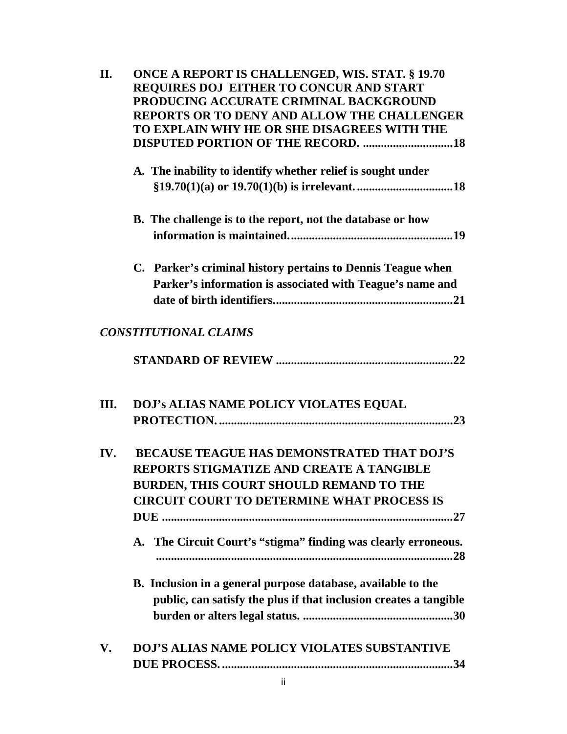| II. | <b>ONCE A REPORT IS CHALLENGED, WIS. STAT. § 19.70</b><br>REQUIRES DOJ EITHER TO CONCUR AND START<br>PRODUCING ACCURATE CRIMINAL BACKGROUND<br><b>REPORTS OR TO DENY AND ALLOW THE CHALLENGER</b><br>TO EXPLAIN WHY HE OR SHE DISAGREES WITH THE<br>DISPUTED PORTION OF THE RECORD. 18 |
|-----|----------------------------------------------------------------------------------------------------------------------------------------------------------------------------------------------------------------------------------------------------------------------------------------|
|     | A. The inability to identify whether relief is sought under                                                                                                                                                                                                                            |
|     | <b>B.</b> The challenge is to the report, not the database or how                                                                                                                                                                                                                      |
|     | C. Parker's criminal history pertains to Dennis Teague when<br>Parker's information is associated with Teague's name and                                                                                                                                                               |
|     | <b>CONSTITUTIONAL CLAIMS</b>                                                                                                                                                                                                                                                           |
|     |                                                                                                                                                                                                                                                                                        |
| Ш.  | DOJ's ALIAS NAME POLICY VIOLATES EQUAL                                                                                                                                                                                                                                                 |
| IV. | <b>BECAUSE TEAGUE HAS DEMONSTRATED THAT DOJ'S</b><br><b>REPORTS STIGMATIZE AND CREATE A TANGIBLE</b><br>BURDEN, THIS COURT SHOULD REMAND TO THE<br><b>CIRCUIT COURT TO DETERMINE WHAT PROCESS IS</b><br>A. The Circuit Court's "stigma" finding was clearly erroneous.                 |
|     | B. Inclusion in a general purpose database, available to the<br>public, can satisfy the plus if that inclusion creates a tangible                                                                                                                                                      |
| V.  | <b>DOJ'S ALIAS NAME POLICY VIOLATES SUBSTANTIVE</b>                                                                                                                                                                                                                                    |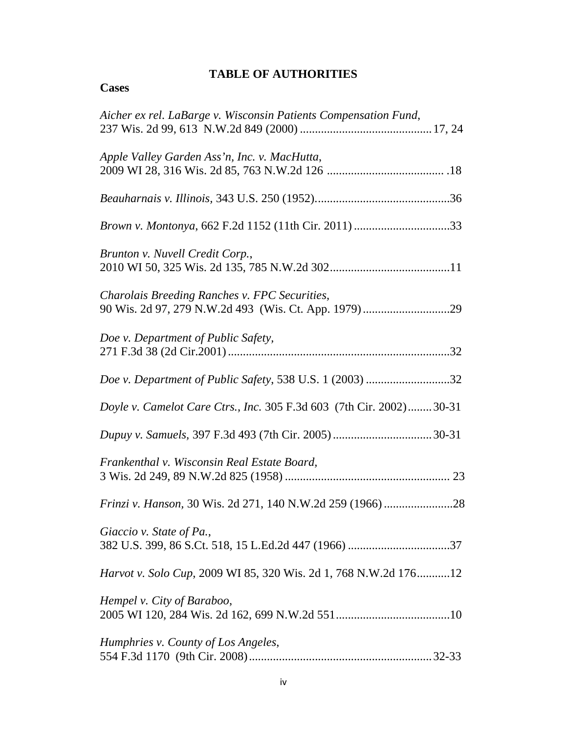# **TABLE OF AUTHORITIES**

| c<br>×.<br>чP.<br>÷. |
|----------------------|
|----------------------|

| Aicher ex rel. LaBarge v. Wisconsin Patients Compensation Fund,     |
|---------------------------------------------------------------------|
| Apple Valley Garden Ass'n, Inc. v. MacHutta,                        |
|                                                                     |
|                                                                     |
| Brunton v. Nuvell Credit Corp.,                                     |
| Charolais Breeding Ranches v. FPC Securities,                       |
| Doe v. Department of Public Safety,                                 |
| Doe v. Department of Public Safety, 538 U.S. 1 (2003) 32            |
| Doyle v. Camelot Care Ctrs., Inc. 305 F.3d 603 (7th Cir. 2002)30-31 |
|                                                                     |
| Frankenthal v. Wisconsin Real Estate Board,                         |
|                                                                     |
| Giaccio v. State of Pa.,                                            |
| Harvot v. Solo Cup, 2009 WI 85, 320 Wis. 2d 1, 768 N.W.2d 17612     |
| Hempel v. City of Baraboo,                                          |
| Humphries v. County of Los Angeles,                                 |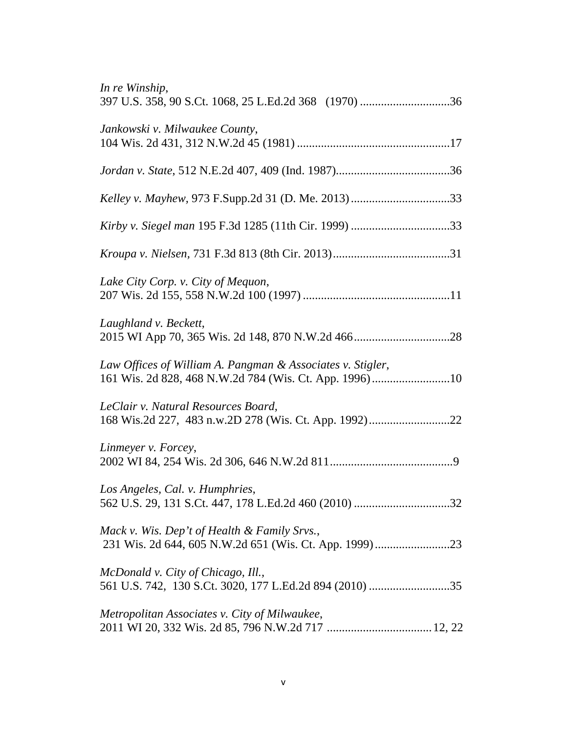| In re Winship,                                             |
|------------------------------------------------------------|
| Jankowski v. Milwaukee County,                             |
|                                                            |
|                                                            |
|                                                            |
|                                                            |
| Lake City Corp. v. City of Mequon,                         |
| Laughland v. Beckett,                                      |
| Law Offices of William A. Pangman & Associates v. Stigler, |
| LeClair v. Natural Resources Board,                        |
| Linmeyer v. Forcey,                                        |
| Los Angeles, Cal. v. Humphries,                            |
| Mack v. Wis. Dep't of Health & Family Srvs.,               |
| McDonald v. City of Chicago, Ill.,                         |
| Metropolitan Associates v. City of Milwaukee,              |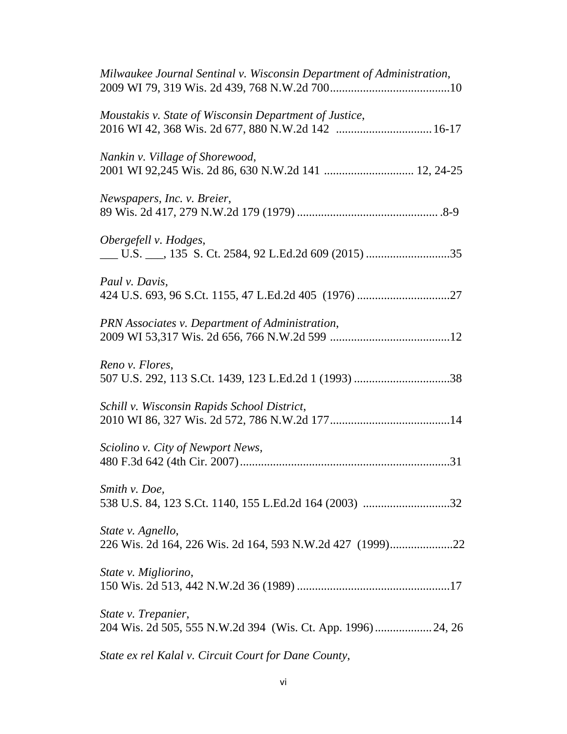| Milwaukee Journal Sentinal v. Wisconsin Department of Administration,                   |
|-----------------------------------------------------------------------------------------|
| Moustakis v. State of Wisconsin Department of Justice,                                  |
| Nankin v. Village of Shorewood,<br>2001 WI 92,245 Wis. 2d 86, 630 N.W.2d 141  12, 24-25 |
| Newspapers, Inc. v. Breier,                                                             |
| Obergefell v. Hodges,                                                                   |
| Paul v. Davis,                                                                          |
| PRN Associates v. Department of Administration,                                         |
| Reno v. Flores,                                                                         |
| Schill v. Wisconsin Rapids School District,                                             |
| Sciolino v. City of Newport News,                                                       |
| Smith v. Doe,                                                                           |
| State v. Agnello,<br>226 Wis. 2d 164, 226 Wis. 2d 164, 593 N.W.2d 427 (1999)22          |
| State v. Migliorino,                                                                    |
| State v. Trepanier,<br>204 Wis. 2d 505, 555 N.W.2d 394 (Wis. Ct. App. 1996)24, 26       |
| State ex rel Kalal v. Circuit Court for Dane County,                                    |

vi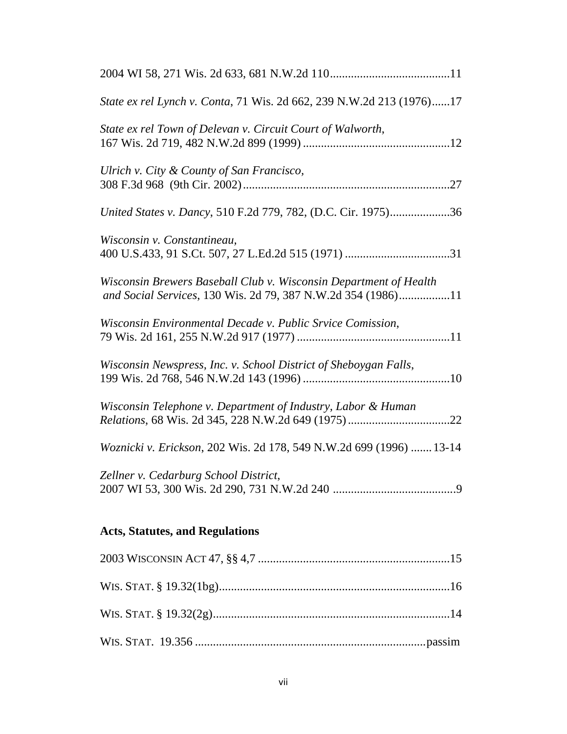| State ex rel Lynch v. Conta, 71 Wis. 2d 662, 239 N.W.2d 213 (1976)17                                                              |
|-----------------------------------------------------------------------------------------------------------------------------------|
| State ex rel Town of Delevan v. Circuit Court of Walworth,                                                                        |
| Ulrich v. City & County of San Francisco,                                                                                         |
| United States v. Dancy, 510 F.2d 779, 782, (D.C. Cir. 1975)36                                                                     |
| Wisconsin v. Constantineau,                                                                                                       |
| Wisconsin Brewers Baseball Club v. Wisconsin Department of Health<br>and Social Services, 130 Wis. 2d 79, 387 N.W.2d 354 (1986)11 |
| Wisconsin Environmental Decade v. Public Srvice Comission,                                                                        |
| Wisconsin Newspress, Inc. v. School District of Sheboygan Falls,                                                                  |
| Wisconsin Telephone v. Department of Industry, Labor & Human                                                                      |
| Woznicki v. Erickson, 202 Wis. 2d 178, 549 N.W.2d 699 (1996)  13-14                                                               |
| Zellner v. Cedarburg School District,                                                                                             |
| <b>Acts, Statutes, and Regulations</b>                                                                                            |
|                                                                                                                                   |
|                                                                                                                                   |
|                                                                                                                                   |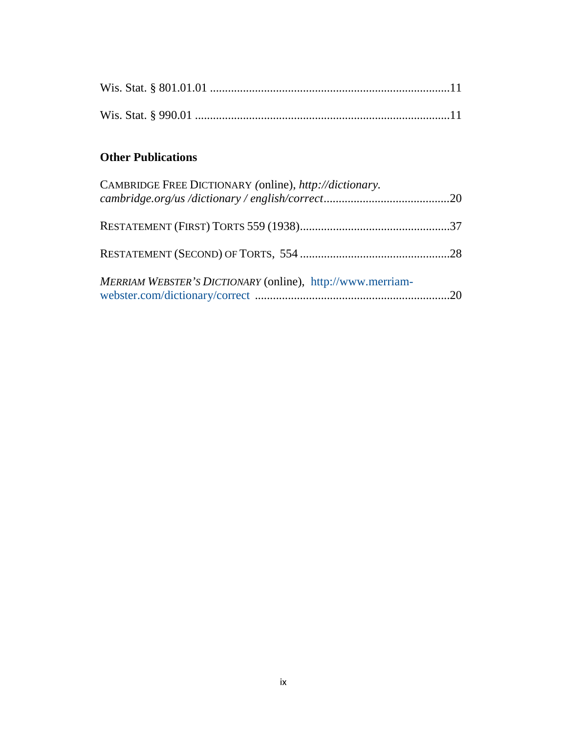# **Other Publications**

| CAMBRIDGE FREE DICTIONARY (online), http://dictionary.     |  |
|------------------------------------------------------------|--|
|                                                            |  |
|                                                            |  |
| MERRIAM WEBSTER'S DICTIONARY (online), http://www.merriam- |  |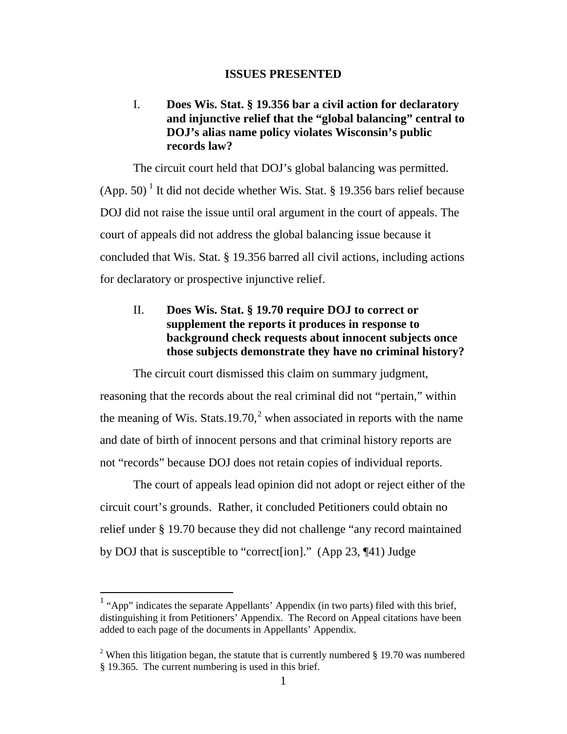#### **ISSUES PRESENTED**

## I. **Does Wis. Stat. § 19.356 bar a civil action for declaratory and injunctive relief that the "global balancing" central to DOJ's alias name policy violates Wisconsin's public records law?**

The circuit court held that DOJ's global balancing was permitted.  $(App. 50)$ <sup>[1](#page-10-0)</sup> It did not decide whether Wis. Stat. § 19.356 bars relief because DOJ did not raise the issue until oral argument in the court of appeals. The court of appeals did not address the global balancing issue because it concluded that Wis. Stat. § 19.356 barred all civil actions, including actions for declaratory or prospective injunctive relief.

## II. **Does Wis. Stat. § 19.70 require DOJ to correct or supplement the reports it produces in response to background check requests about innocent subjects once those subjects demonstrate they have no criminal history?**

The circuit court dismissed this claim on summary judgment, reasoning that the records about the real criminal did not "pertain," within the meaning of Wis. Stats.19.70,<sup>[2](#page-10-1)</sup> when associated in reports with the name and date of birth of innocent persons and that criminal history reports are not "records" because DOJ does not retain copies of individual reports.

The court of appeals lead opinion did not adopt or reject either of the circuit court's grounds. Rather, it concluded Petitioners could obtain no relief under § 19.70 because they did not challenge "any record maintained by DOJ that is susceptible to "correct[ion]." (App 23, ¶41) Judge

<span id="page-10-0"></span><sup>&</sup>lt;sup>1</sup> "App" indicates the separate Appellants' Appendix (in two parts) filed with this brief, distinguishing it from Petitioners' Appendix. The Record on Appeal citations have been added to each page of the documents in Appellants' Appendix.

<span id="page-10-1"></span><sup>&</sup>lt;sup>2</sup> When this litigation began, the statute that is currently numbered  $\S$  19.70 was numbered § 19.365. The current numbering is used in this brief.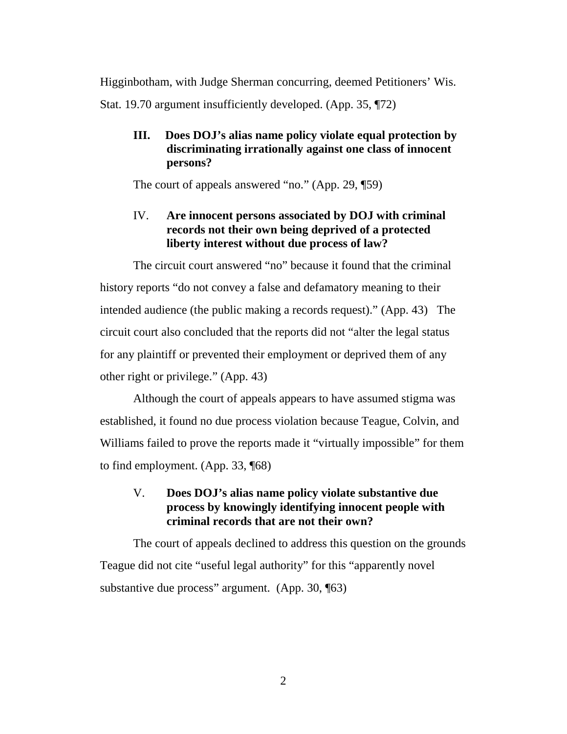Higginbotham, with Judge Sherman concurring, deemed Petitioners' Wis. Stat. 19.70 argument insufficiently developed. (App. 35, ¶72)

## **III. Does DOJ's alias name policy violate equal protection by discriminating irrationally against one class of innocent persons?**

The court of appeals answered "no." (App. 29, ¶59)

## IV. **Are innocent persons associated by DOJ with criminal records not their own being deprived of a protected liberty interest without due process of law?**

The circuit court answered "no" because it found that the criminal history reports "do not convey a false and defamatory meaning to their intended audience (the public making a records request)." (App. 43) The circuit court also concluded that the reports did not "alter the legal status for any plaintiff or prevented their employment or deprived them of any other right or privilege." (App. 43)

Although the court of appeals appears to have assumed stigma was established, it found no due process violation because Teague, Colvin, and Williams failed to prove the reports made it "virtually impossible" for them to find employment. (App. 33, ¶68)

## V. **Does DOJ's alias name policy violate substantive due process by knowingly identifying innocent people with criminal records that are not their own?**

The court of appeals declined to address this question on the grounds Teague did not cite "useful legal authority" for this "apparently novel substantive due process" argument. (App. 30, ¶63)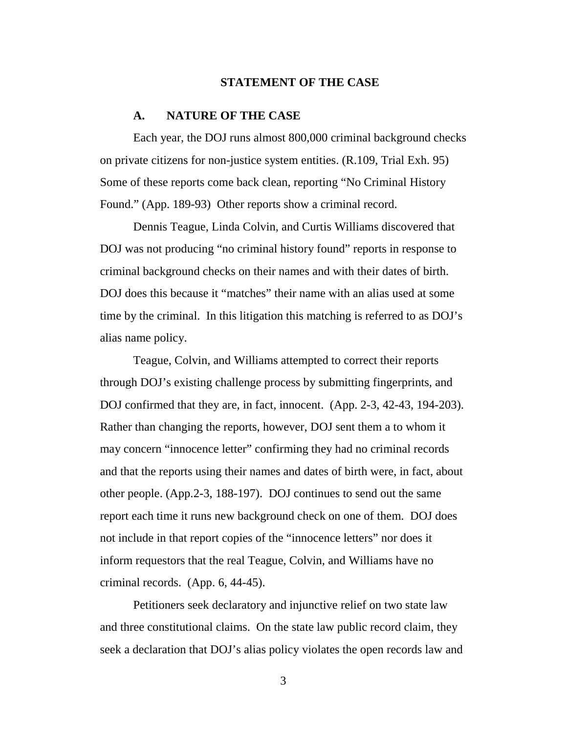#### **STATEMENT OF THE CASE**

#### **A. NATURE OF THE CASE**

Each year, the DOJ runs almost 800,000 criminal background checks on private citizens for non-justice system entities. (R.109, Trial Exh. 95) Some of these reports come back clean, reporting "No Criminal History Found." (App. 189-93) Other reports show a criminal record.

Dennis Teague, Linda Colvin, and Curtis Williams discovered that DOJ was not producing "no criminal history found" reports in response to criminal background checks on their names and with their dates of birth. DOJ does this because it "matches" their name with an alias used at some time by the criminal. In this litigation this matching is referred to as DOJ's alias name policy.

Teague, Colvin, and Williams attempted to correct their reports through DOJ's existing challenge process by submitting fingerprints, and DOJ confirmed that they are, in fact, innocent. (App. 2-3, 42-43, 194-203). Rather than changing the reports, however, DOJ sent them a to whom it may concern "innocence letter" confirming they had no criminal records and that the reports using their names and dates of birth were, in fact, about other people. (App.2-3, 188-197). DOJ continues to send out the same report each time it runs new background check on one of them. DOJ does not include in that report copies of the "innocence letters" nor does it inform requestors that the real Teague, Colvin, and Williams have no criminal records. (App. 6, 44-45).

Petitioners seek declaratory and injunctive relief on two state law and three constitutional claims. On the state law public record claim, they seek a declaration that DOJ's alias policy violates the open records law and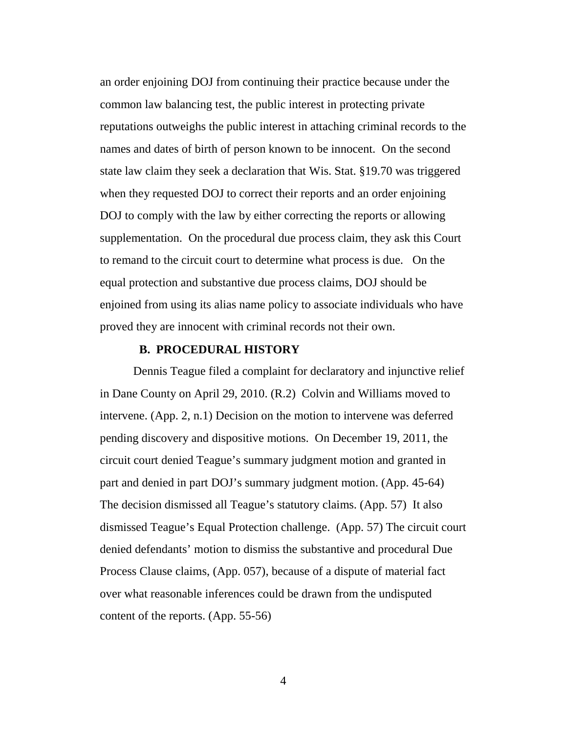an order enjoining DOJ from continuing their practice because under the common law balancing test, the public interest in protecting private reputations outweighs the public interest in attaching criminal records to the names and dates of birth of person known to be innocent. On the second state law claim they seek a declaration that Wis. Stat. §19.70 was triggered when they requested DOJ to correct their reports and an order enjoining DOJ to comply with the law by either correcting the reports or allowing supplementation. On the procedural due process claim, they ask this Court to remand to the circuit court to determine what process is due. On the equal protection and substantive due process claims, DOJ should be enjoined from using its alias name policy to associate individuals who have proved they are innocent with criminal records not their own.

#### **B. PROCEDURAL HISTORY**

Dennis Teague filed a complaint for declaratory and injunctive relief in Dane County on April 29, 2010. (R.2) Colvin and Williams moved to intervene. (App. 2, n.1) Decision on the motion to intervene was deferred pending discovery and dispositive motions. On December 19, 2011, the circuit court denied Teague's summary judgment motion and granted in part and denied in part DOJ's summary judgment motion. (App. 45-64) The decision dismissed all Teague's statutory claims. (App. 57) It also dismissed Teague's Equal Protection challenge. (App. 57) The circuit court denied defendants' motion to dismiss the substantive and procedural Due Process Clause claims, (App. 057), because of a dispute of material fact over what reasonable inferences could be drawn from the undisputed content of the reports. (App. 55-56)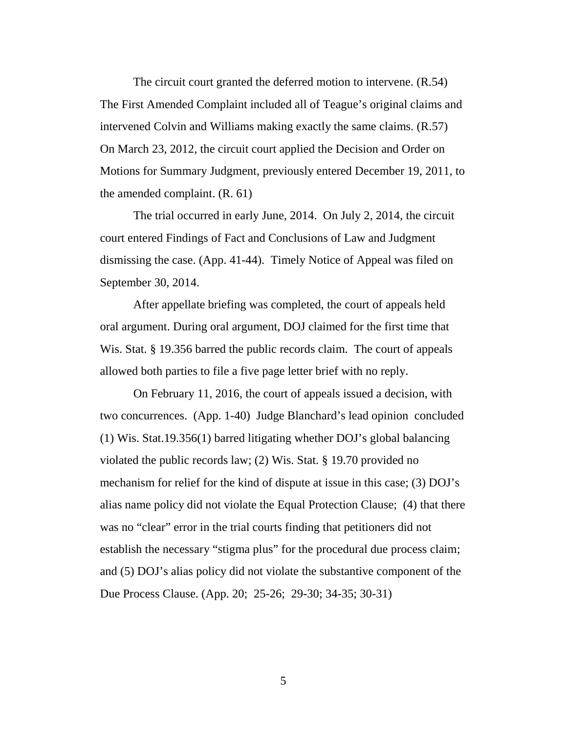The circuit court granted the deferred motion to intervene. (R.54) The First Amended Complaint included all of Teague's original claims and intervened Colvin and Williams making exactly the same claims. (R.57) On March 23, 2012, the circuit court applied the Decision and Order on Motions for Summary Judgment, previously entered December 19, 2011, to the amended complaint. (R. 61)

The trial occurred in early June, 2014. On July 2, 2014, the circuit court entered Findings of Fact and Conclusions of Law and Judgment dismissing the case. (App. 41-44). Timely Notice of Appeal was filed on September 30, 2014.

After appellate briefing was completed, the court of appeals held oral argument. During oral argument, DOJ claimed for the first time that Wis. Stat. § 19.356 barred the public records claim. The court of appeals allowed both parties to file a five page letter brief with no reply.

On February 11, 2016, the court of appeals issued a decision, with two concurrences. (App. 1-40) Judge Blanchard's lead opinion concluded (1) Wis. Stat.19.356(1) barred litigating whether DOJ's global balancing violated the public records law; (2) Wis. Stat. § 19.70 provided no mechanism for relief for the kind of dispute at issue in this case; (3) DOJ's alias name policy did not violate the Equal Protection Clause; (4) that there was no "clear" error in the trial courts finding that petitioners did not establish the necessary "stigma plus" for the procedural due process claim; and (5) DOJ's alias policy did not violate the substantive component of the Due Process Clause. (App. 20; 25-26; 29-30; 34-35; 30-31)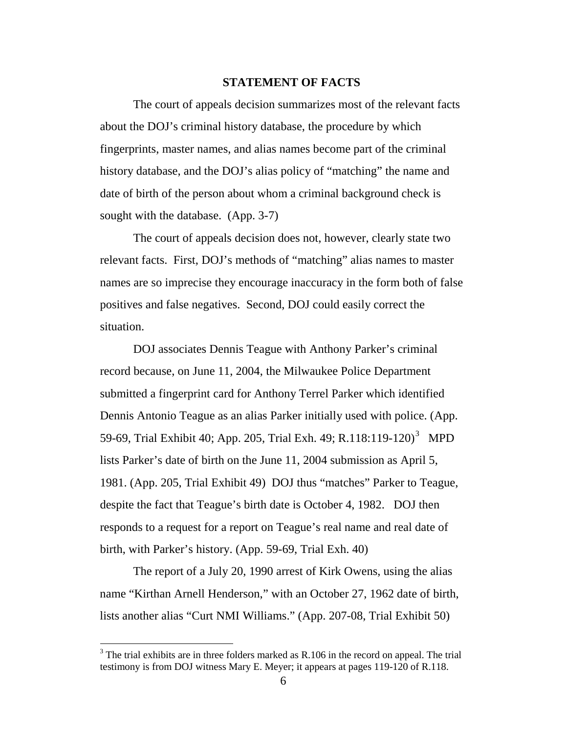#### **STATEMENT OF FACTS**

The court of appeals decision summarizes most of the relevant facts about the DOJ's criminal history database, the procedure by which fingerprints, master names, and alias names become part of the criminal history database, and the DOJ's alias policy of "matching" the name and date of birth of the person about whom a criminal background check is sought with the database. (App. 3-7)

The court of appeals decision does not, however, clearly state two relevant facts. First, DOJ's methods of "matching" alias names to master names are so imprecise they encourage inaccuracy in the form both of false positives and false negatives. Second, DOJ could easily correct the situation.

DOJ associates Dennis Teague with Anthony Parker's criminal record because, on June 11, 2004, the Milwaukee Police Department submitted a fingerprint card for Anthony Terrel Parker which identified Dennis Antonio Teague as an alias Parker initially used with police. (App. 59-69, Trial Exhibit 40; App. 205, Trial Exh. 49; R.118:119-120)<sup>[3](#page-15-0)</sup> MPD lists Parker's date of birth on the June 11, 2004 submission as April 5, 1981. (App. 205, Trial Exhibit 49) DOJ thus "matches" Parker to Teague, despite the fact that Teague's birth date is October 4, 1982. DOJ then responds to a request for a report on Teague's real name and real date of birth, with Parker's history. (App. 59-69, Trial Exh. 40)

The report of a July 20, 1990 arrest of Kirk Owens, using the alias name "Kirthan Arnell Henderson," with an October 27, 1962 date of birth, lists another alias "Curt NMI Williams." (App. 207-08, Trial Exhibit 50)

<span id="page-15-0"></span> $3$  The trial exhibits are in three folders marked as R.106 in the record on appeal. The trial testimony is from DOJ witness Mary E. Meyer; it appears at pages 119-120 of R.118.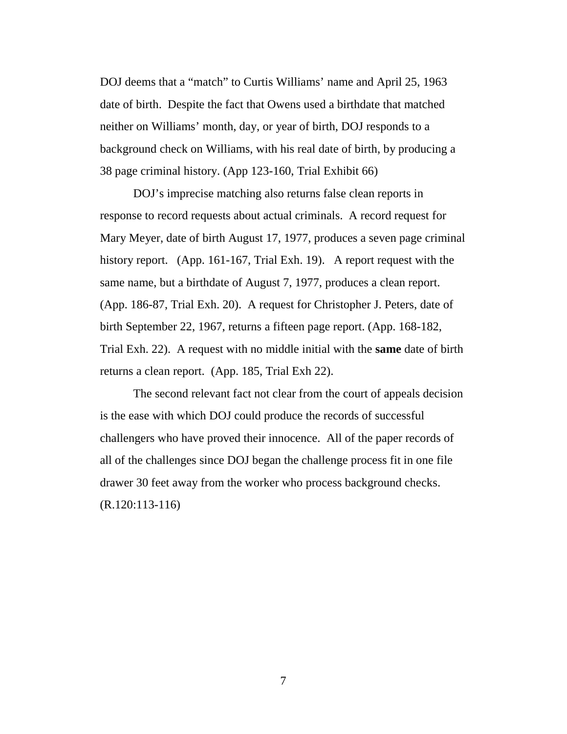DOJ deems that a "match" to Curtis Williams' name and April 25, 1963 date of birth. Despite the fact that Owens used a birthdate that matched neither on Williams' month, day, or year of birth, DOJ responds to a background check on Williams, with his real date of birth, by producing a 38 page criminal history. (App 123-160, Trial Exhibit 66)

DOJ's imprecise matching also returns false clean reports in response to record requests about actual criminals. A record request for Mary Meyer, date of birth August 17, 1977, produces a seven page criminal history report. (App. 161-167, Trial Exh. 19). A report request with the same name, but a birthdate of August 7, 1977, produces a clean report. (App. 186-87, Trial Exh. 20). A request for Christopher J. Peters, date of birth September 22, 1967, returns a fifteen page report. (App. 168-182, Trial Exh. 22). A request with no middle initial with the **same** date of birth returns a clean report. (App. 185, Trial Exh 22).

The second relevant fact not clear from the court of appeals decision is the ease with which DOJ could produce the records of successful challengers who have proved their innocence. All of the paper records of all of the challenges since DOJ began the challenge process fit in one file drawer 30 feet away from the worker who process background checks. (R.120:113-116)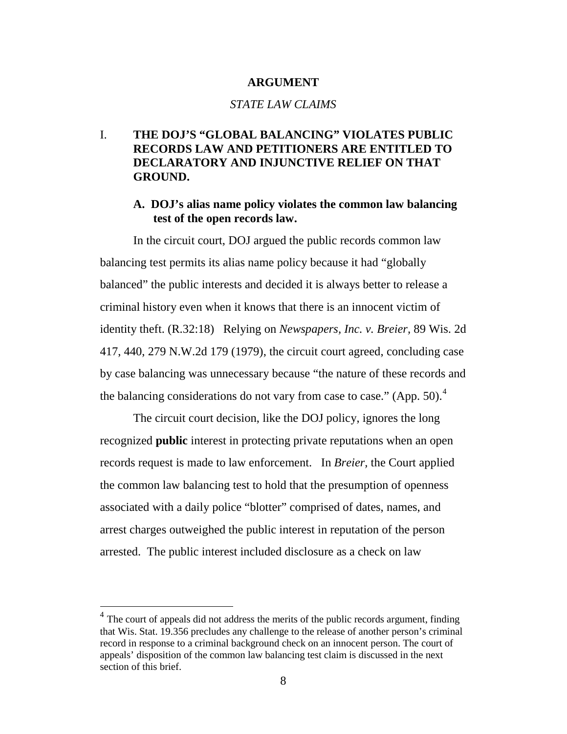#### **ARGUMENT**

#### *STATE LAW CLAIMS*

## I. **THE DOJ'S "GLOBAL BALANCING" VIOLATES PUBLIC RECORDS LAW AND PETITIONERS ARE ENTITLED TO DECLARATORY AND INJUNCTIVE RELIEF ON THAT GROUND.**

## **A. DOJ's alias name policy violates the common law balancing test of the open records law.**

In the circuit court, DOJ argued the public records common law balancing test permits its alias name policy because it had "globally balanced" the public interests and decided it is always better to release a criminal history even when it knows that there is an innocent victim of identity theft. (R.32:18) Relying on *Newspapers, Inc. v. Breier,* 89 Wis. 2d 417, 440, 279 N.W.2d 179 (1979), the circuit court agreed, concluding case by case balancing was unnecessary because "the nature of these records and the balancing considerations do not vary from case to case." (App. 50). $<sup>4</sup>$  $<sup>4</sup>$  $<sup>4</sup>$ </sup>

The circuit court decision, like the DOJ policy, ignores the long recognized **public** interest in protecting private reputations when an open records request is made to law enforcement. In *Breier,* the Court applied the common law balancing test to hold that the presumption of openness associated with a daily police "blotter" comprised of dates, names, and arrest charges outweighed the public interest in reputation of the person arrested. The public interest included disclosure as a check on law

<span id="page-17-0"></span><sup>&</sup>lt;sup>4</sup> The court of appeals did not address the merits of the public records argument, finding that Wis. Stat. 19.356 precludes any challenge to the release of another person's criminal record in response to a criminal background check on an innocent person. The court of appeals' disposition of the common law balancing test claim is discussed in the next section of this brief.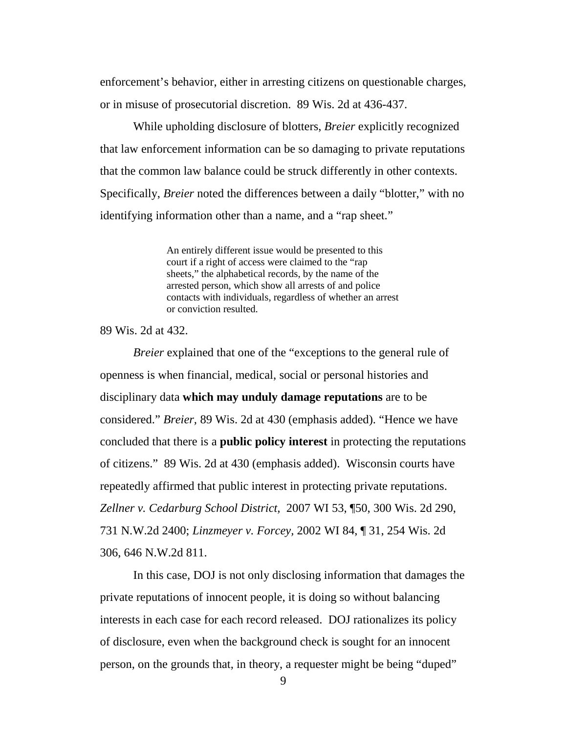enforcement's behavior, either in arresting citizens on questionable charges, or in misuse of prosecutorial discretion. 89 Wis. 2d at 436-437.

While upholding disclosure of blotters, *Breier* explicitly recognized that law enforcement information can be so damaging to private reputations that the common law balance could be struck differently in other contexts. Specifically, *Breier* noted the differences between a daily "blotter," with no identifying information other than a name, and a "rap sheet."

> An entirely different issue would be presented to this court if a right of access were claimed to the "rap sheets," the alphabetical records, by the name of the arrested person, which show all arrests of and police contacts with individuals, regardless of whether an arrest or conviction resulted.

#### 89 Wis. 2d at 432.

*Breier* explained that one of the "exceptions to the general rule of openness is when financial, medical, social or personal histories and disciplinary data **which may unduly damage reputations** are to be considered." *Breier,* 89 Wis. 2d at 430 (emphasis added). "Hence we have concluded that there is a **public policy interest** in protecting the reputations of citizens." 89 Wis. 2d at 430 (emphasis added). Wisconsin courts have repeatedly affirmed that public interest in protecting private reputations. *Zellner v. Cedarburg School District,* 2007 WI 53, ¶50, 300 Wis. 2d 290, 731 N.W.2d 2400; *Linzmeyer v. Forcey,* 2002 WI 84, ¶ 31, 254 Wis. 2d 306, 646 N.W.2d 811.

In this case, DOJ is not only disclosing information that damages the private reputations of innocent people, it is doing so without balancing interests in each case for each record released. DOJ rationalizes its policy of disclosure, even when the background check is sought for an innocent person, on the grounds that, in theory, a requester might be being "duped"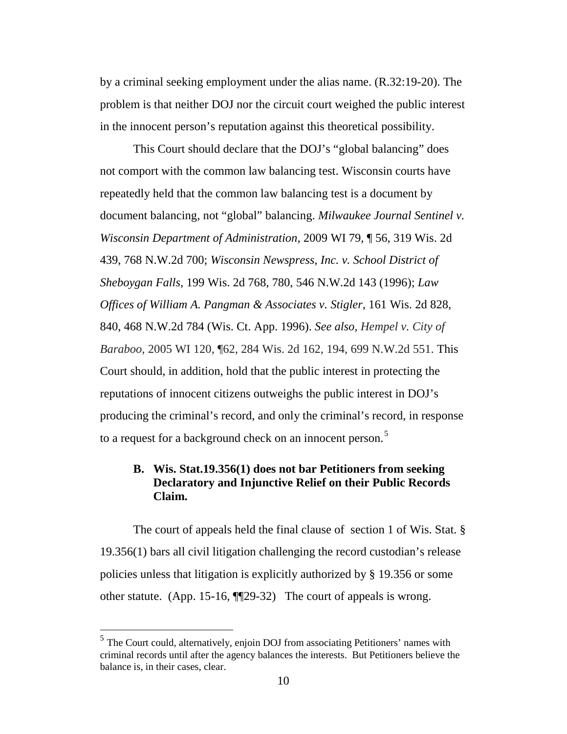by a criminal seeking employment under the alias name. (R.32:19-20). The problem is that neither DOJ nor the circuit court weighed the public interest in the innocent person's reputation against this theoretical possibility.

This Court should declare that the DOJ's "global balancing" does not comport with the common law balancing test. Wisconsin courts have repeatedly held that the common law balancing test is a document by document balancing, not "global" balancing. *Milwaukee Journal Sentinel v. Wisconsin Department of Administration,* 2009 WI 79, ¶ 56, 319 Wis. 2d 439, 768 N.W.2d 700; *Wisconsin Newspress, Inc. v. School District of Sheboygan Falls,* 199 Wis. 2d 768, 780, 546 N.W.2d 143 (1996); *Law Offices of William A. Pangman & Associates v. Stigler*, 161 Wis. 2d 828, 840, 468 N.W.2d 784 (Wis. Ct. App. 1996). *See also, Hempel v. City of Baraboo,* 2005 WI 120, ¶62, 284 Wis. 2d 162, 194, 699 N.W.2d 551. This Court should, in addition, hold that the public interest in protecting the reputations of innocent citizens outweighs the public interest in DOJ's producing the criminal's record, and only the criminal's record, in response to a request for a background check on an innocent person.<sup>[5](#page-19-0)</sup>

## **B. Wis. Stat.19.356(1) does not bar Petitioners from seeking Declaratory and Injunctive Relief on their Public Records Claim.**

The court of appeals held the final clause of section 1 of Wis. Stat. § 19.356(1) bars all civil litigation challenging the record custodian's release policies unless that litigation is explicitly authorized by § 19.356 or some other statute. (App. 15-16, ¶¶29-32) The court of appeals is wrong.

<span id="page-19-0"></span> <sup>5</sup> The Court could, alternatively, enjoin DOJ from associating Petitioners' names with criminal records until after the agency balances the interests. But Petitioners believe the balance is, in their cases, clear.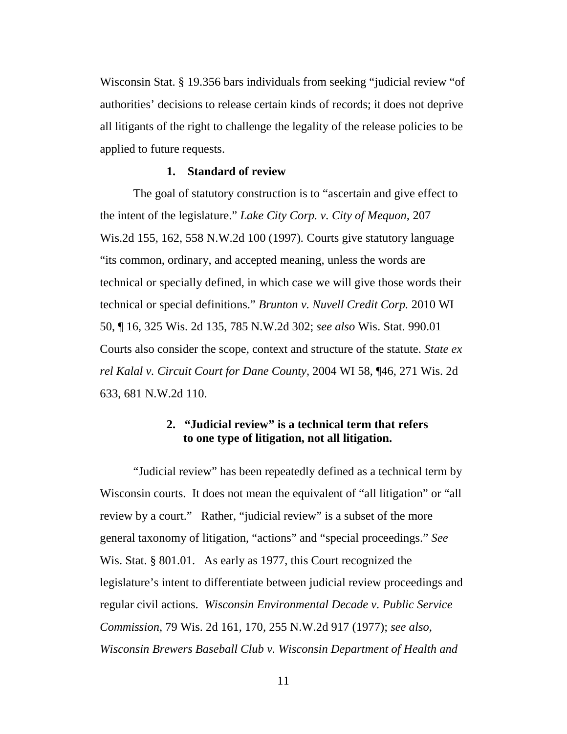Wisconsin Stat. § 19.356 bars individuals from seeking "judicial review "of authorities' decisions to release certain kinds of records; it does not deprive all litigants of the right to challenge the legality of the release policies to be applied to future requests.

#### **1. Standard of review**

The goal of statutory construction is to "ascertain and give effect to the intent of the legislature." *Lake City Corp. v. City of Mequon,* 207 Wis.2d 155, 162, 558 N.W.2d 100 (1997)*.* Courts give statutory language "its common, ordinary, and accepted meaning, unless the words are technical or specially defined, in which case we will give those words their technical or special definitions." *Brunton v. Nuvell Credit Corp.* 2010 WI 50, ¶ 16, 325 Wis. 2d 135, 785 N.W.2d 302; *see also* Wis. Stat. 990.01 Courts also consider the scope, context and structure of the statute. *State ex rel Kalal v. Circuit Court for Dane County,* 2004 WI 58, ¶46, 271 Wis. 2d 633, 681 N.W.2d 110.

## **2. "Judicial review" is a technical term that refers to one type of litigation, not all litigation.**

"Judicial review" has been repeatedly defined as a technical term by Wisconsin courts. It does not mean the equivalent of "all litigation" or "all review by a court." Rather, "judicial review" is a subset of the more general taxonomy of litigation, "actions" and "special proceedings." *See* Wis. Stat. § 801.01. As early as 1977, this Court recognized the legislature's intent to differentiate between judicial review proceedings and regular civil actions. *Wisconsin Environmental Decade v. Public Service Commission,* 79 Wis. 2d 161, 170, 255 N.W.2d 917 (1977); *see also*, *Wisconsin Brewers Baseball Club v. Wisconsin Department of Health and*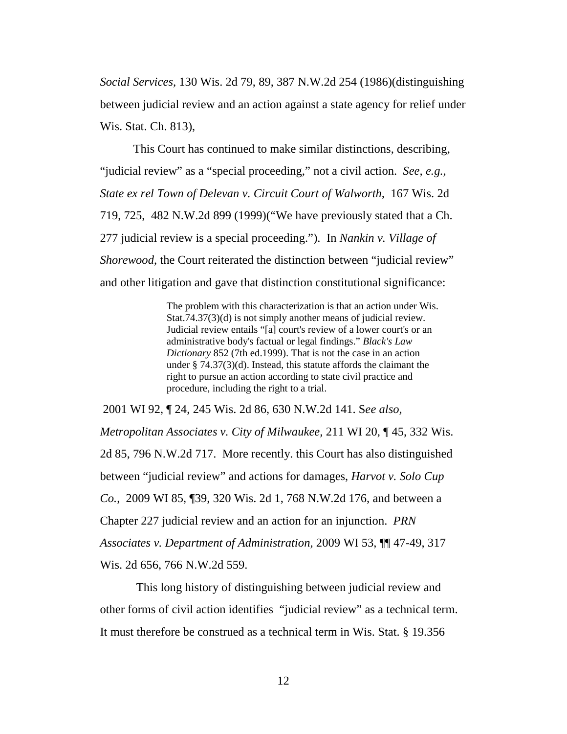*Social Services,* 130 Wis. 2d 79, 89, 387 N.W.2d 254 (1986)(distinguishing between judicial review and an action against a state agency for relief under Wis. Stat. Ch. 813),

This Court has continued to make similar distinctions, describing, "judicial review" as a "special proceeding," not a civil action. *See, e.g., State ex rel Town of Delevan v. Circuit Court of Walworth,* 167 Wis. 2d 719, 725, 482 N.W.2d 899 (1999)("We have previously stated that a Ch. 277 judicial review is a special proceeding."). In *Nankin v. Village of Shorewood*, the Court reiterated the distinction between "judicial review" and other litigation and gave that distinction constitutional significance:

> The problem with this characterization is that an action under [Wis.](https://1.next.westlaw.com/Link/Document/FullText?findType=L&pubNum=1000260&cite=WIST74.37&originatingDoc=I8727e4bfff7711d9bf60c1d57ebc853e&refType=SP&originationContext=document&transitionType=DocumentItem&contextData=%28sc.DocLink%29#co_pp_cac9000000301)  [Stat.74.37\(3\)\(d\)](https://1.next.westlaw.com/Link/Document/FullText?findType=L&pubNum=1000260&cite=WIST74.37&originatingDoc=I8727e4bfff7711d9bf60c1d57ebc853e&refType=SP&originationContext=document&transitionType=DocumentItem&contextData=%28sc.DocLink%29#co_pp_cac9000000301) is not simply another means of judicial review. Judicial review entails "[a] court's review of a lower court's or an administrative body's factual or legal findings." *Black's Law Dictionary* 852 (7th ed.1999). That is not the case in an action under [§ 74.37\(3\)\(d\).](https://1.next.westlaw.com/Link/Document/FullText?findType=L&pubNum=1000260&cite=WIST74.37&originatingDoc=I8727e4bfff7711d9bf60c1d57ebc853e&refType=SP&originationContext=document&transitionType=DocumentItem&contextData=%28sc.DocLink%29#co_pp_cac9000000301) Instead, this statute affords the claimant the right to pursue an action according to state civil practice and procedure, including the right to a trial.

2001 WI 92, ¶ 24, 245 Wis. 2d 86, 630 N.W.2d 141. S*ee also, Metropolitan Associates v. City of Milwaukee,* 211 WI 20, ¶ 45, 332 Wis. 2d 85, 796 N.W.2d 717. More recently. this Court has also distinguished between "judicial review" and actions for damages, *Harvot v. Solo Cup Co.*, 2009 WI 85, ¶39, 320 Wis. 2d 1, 768 N.W.2d 176, and between a Chapter 227 judicial review and an action for an injunction. *PRN Associates v. Department of Administration,* 2009 WI 53, ¶¶ 47-49, 317 Wis. 2d 656, 766 N.W.2d 559.

This long history of distinguishing between judicial review and other forms of civil action identifies "judicial review" as a technical term. It must therefore be construed as a technical term in Wis. Stat. § 19.356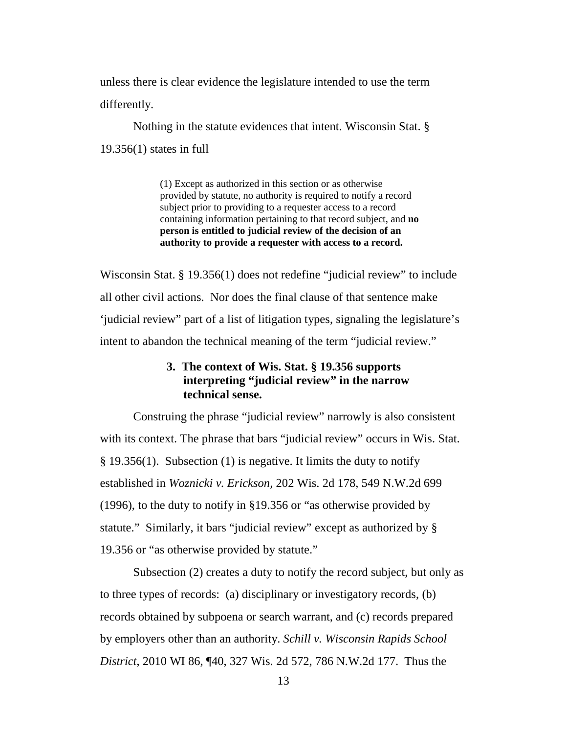unless there is clear evidence the legislature intended to use the term differently.

Nothing in the statute evidences that intent. Wisconsin Stat. § 19.356(1) states in full

> (1) Except as authorized in this section or as otherwise provided by statute, no authority is required to notify a record subject prior to providing to a requester access to a record containing information pertaining to that record subject, and **no person is entitled to judicial review of the decision of an authority to provide a requester with access to a record.**

Wisconsin Stat. § 19.356(1) does not redefine "judicial review" to include all other civil actions. Nor does the final clause of that sentence make 'judicial review" part of a list of litigation types, signaling the legislature's intent to abandon the technical meaning of the term "judicial review."

## **3. The context of Wis. Stat. § 19.356 supports interpreting "judicial review" in the narrow technical sense.**

Construing the phrase "judicial review" narrowly is also consistent with its context. The phrase that bars "judicial review" occurs in Wis. Stat. § 19.356(1). Subsection (1) is negative. It limits the duty to notify established in *Woznicki v. Erickson,* 202 Wis. 2d 178, 549 N.W.2d 699 (1996), to the duty to notify in §19.356 or "as otherwise provided by statute." Similarly, it bars "judicial review" except as authorized by § 19.356 or "as otherwise provided by statute."

Subsection (2) creates a duty to notify the record subject, but only as to three types of records: (a) disciplinary or investigatory records, (b) records obtained by subpoena or search warrant, and (c) records prepared by employers other than an authority. *Schill v. Wisconsin Rapids School District*, 2010 WI 86, ¶40, 327 Wis. 2d 572, 786 N.W.2d 177. Thus the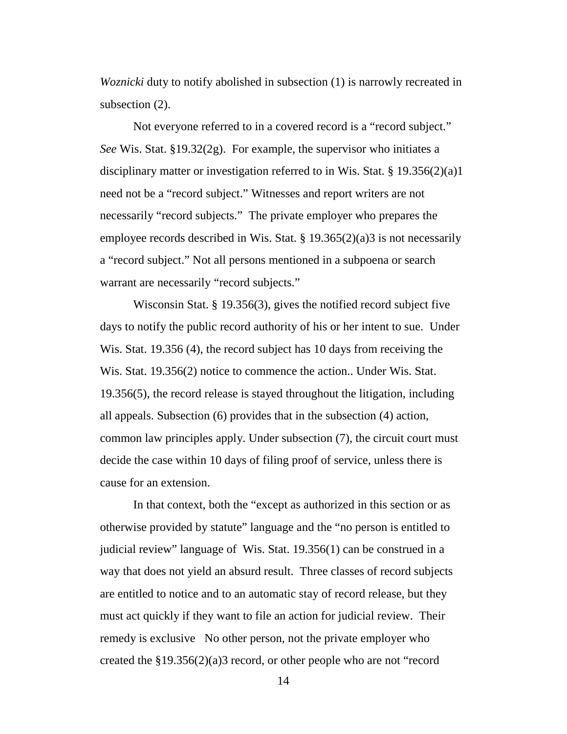*Woznicki* duty to notify abolished in subsection (1) is narrowly recreated in subsection (2).

Not everyone referred to in a covered record is a "record subject." *See* Wis. Stat. §19.32(2g). For example, the supervisor who initiates a disciplinary matter or investigation referred to in Wis. Stat. § 19.356(2)(a)1 need not be a "record subject." Witnesses and report writers are not necessarily "record subjects." The private employer who prepares the employee records described in Wis. Stat. § 19.365(2)(a)3 is not necessarily a "record subject." Not all persons mentioned in a subpoena or search warrant are necessarily "record subjects."

Wisconsin Stat. § 19.356(3), gives the notified record subject five days to notify the public record authority of his or her intent to sue. Under Wis. Stat. 19.356 (4), the record subject has 10 days from receiving the Wis. Stat. 19.356(2) notice to commence the action.. Under Wis. Stat. 19.356(5), the record release is stayed throughout the litigation, including all appeals. Subsection (6) provides that in the subsection (4) action, common law principles apply. Under subsection (7), the circuit court must decide the case within 10 days of filing proof of service, unless there is cause for an extension.

In that context, both the "except as authorized in this section or as otherwise provided by statute" language and the "no person is entitled to judicial review" language of Wis. Stat. 19.356(1) can be construed in a way that does not yield an absurd result. Three classes of record subjects are entitled to notice and to an automatic stay of record release, but they must act quickly if they want to file an action for judicial review. Their remedy is exclusive No other person, not the private employer who created the §19.356(2)(a)3 record, or other people who are not "record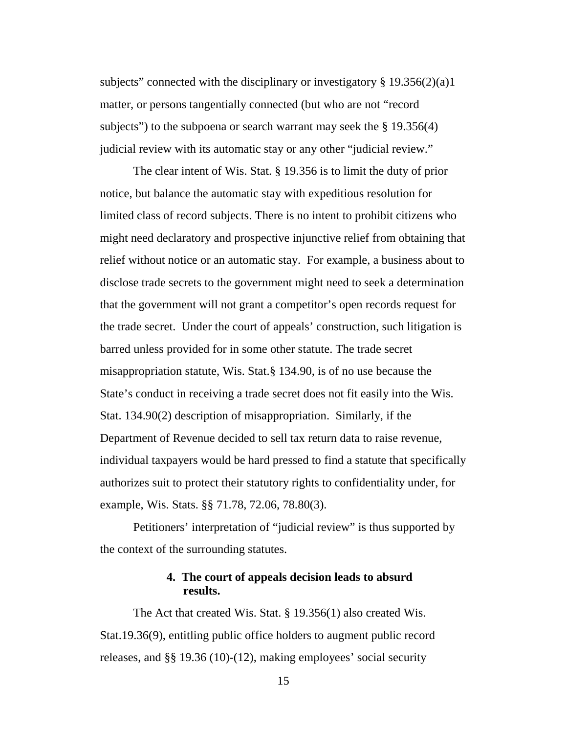subjects" connected with the disciplinary or investigatory  $\S 19.356(2)(a)1$ matter, or persons tangentially connected (but who are not "record subjects") to the subpoena or search warrant may seek the  $\S 19.356(4)$ judicial review with its automatic stay or any other "judicial review."

The clear intent of Wis. Stat. § 19.356 is to limit the duty of prior notice, but balance the automatic stay with expeditious resolution for limited class of record subjects. There is no intent to prohibit citizens who might need declaratory and prospective injunctive relief from obtaining that relief without notice or an automatic stay. For example, a business about to disclose trade secrets to the government might need to seek a determination that the government will not grant a competitor's open records request for the trade secret. Under the court of appeals' construction, such litigation is barred unless provided for in some other statute. The trade secret misappropriation statute, Wis. Stat.§ 134.90, is of no use because the State's conduct in receiving a trade secret does not fit easily into the Wis. Stat. 134.90(2) description of misappropriation. Similarly, if the Department of Revenue decided to sell tax return data to raise revenue, individual taxpayers would be hard pressed to find a statute that specifically authorizes suit to protect their statutory rights to confidentiality under, for example, Wis. Stats. §§ 71.78, 72.06, 78.80(3).

Petitioners' interpretation of "judicial review" is thus supported by the context of the surrounding statutes.

## **4. The court of appeals decision leads to absurd results.**

The Act that created Wis. Stat. § 19.356(1) also created Wis. Stat.19.36(9), entitling public office holders to augment public record releases, and §§ 19.36 (10)-(12), making employees' social security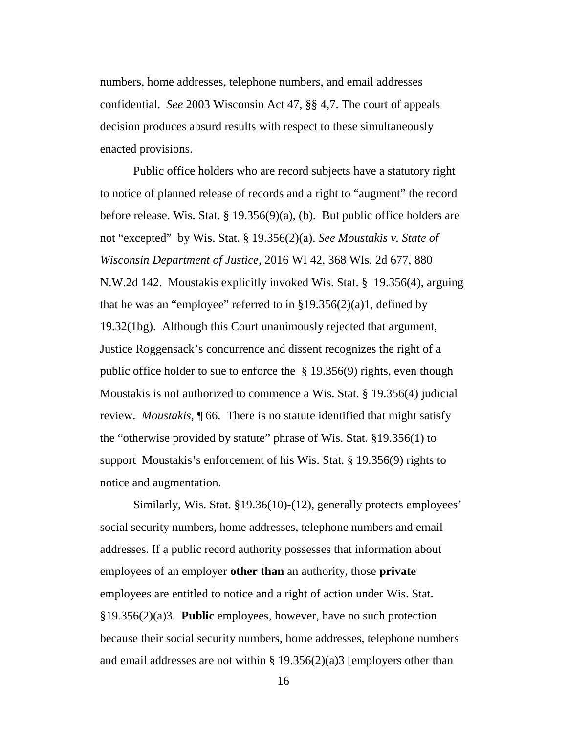numbers, home addresses, telephone numbers, and email addresses confidential. *See* 2003 Wisconsin Act 47, §§ 4,7. The court of appeals decision produces absurd results with respect to these simultaneously enacted provisions.

Public office holders who are record subjects have a statutory right to notice of planned release of records and a right to "augment" the record before release. Wis. Stat. § 19.356(9)(a), (b). But public office holders are not "excepted" by Wis. Stat. § 19.356(2)(a). *See Moustakis v. State of Wisconsin Department of Justice,* 2016 WI 42, 368 WIs. 2d 677, 880 N.W.2d 142. Moustakis explicitly invoked Wis. Stat. § 19.356(4), arguing that he was an "employee" referred to in  $\S 19.356(2)(a)1$ , defined by 19.32(1bg). Although this Court unanimously rejected that argument, Justice Roggensack's concurrence and dissent recognizes the right of a public office holder to sue to enforce the  $\S$  19.356(9) rights, even though Moustakis is not authorized to commence a Wis. Stat. § 19.356(4) judicial review. *Moustakis,* ¶ 66. There is no statute identified that might satisfy the "otherwise provided by statute" phrase of Wis. Stat. §19.356(1) to support Moustakis's enforcement of his Wis. Stat. § 19.356(9) rights to notice and augmentation.

Similarly, Wis. Stat. §19.36(10)-(12), generally protects employees' social security numbers, home addresses, telephone numbers and email addresses. If a public record authority possesses that information about employees of an employer **other than** an authority, those **private**  employees are entitled to notice and a right of action under Wis. Stat. §19.356(2)(a)3. **Public** employees, however, have no such protection because their social security numbers, home addresses, telephone numbers and email addresses are not within  $\S 19.356(2)(a)3$  [employers other than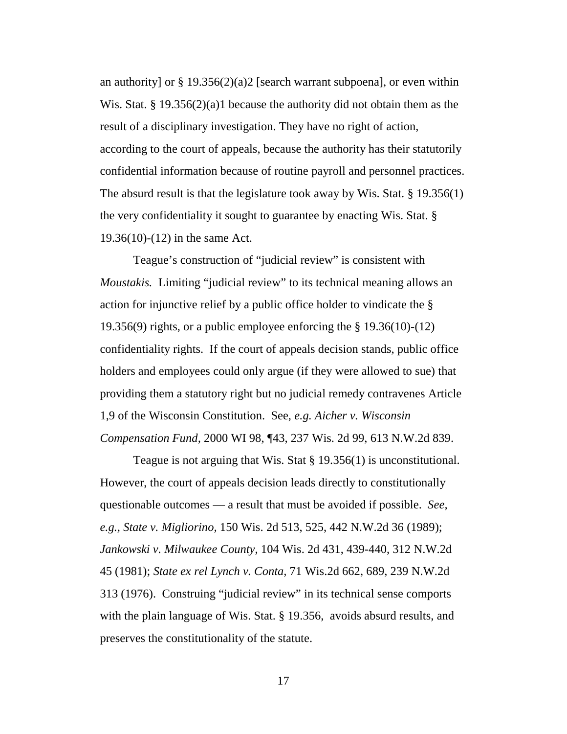an authority] or  $\S 19.356(2)(a)2$  [search warrant subpoena], or even within Wis. Stat. § 19.356(2)(a)1 because the authority did not obtain them as the result of a disciplinary investigation. They have no right of action, according to the court of appeals, because the authority has their statutorily confidential information because of routine payroll and personnel practices. The absurd result is that the legislature took away by Wis. Stat. § 19.356(1) the very confidentiality it sought to guarantee by enacting Wis. Stat. § 19.36(10)-(12) in the same Act.

Teague's construction of "judicial review" is consistent with *Moustakis.* Limiting "judicial review" to its technical meaning allows an action for injunctive relief by a public office holder to vindicate the § 19.356(9) rights, or a public employee enforcing the § 19.36(10)-(12) confidentiality rights. If the court of appeals decision stands, public office holders and employees could only argue (if they were allowed to sue) that providing them a statutory right but no judicial remedy contravenes Article 1,9 of the Wisconsin Constitution. See, *e.g. Aicher v. Wisconsin Compensation Fund,* 2000 WI 98, ¶43, 237 Wis. 2d 99, 613 N.W.2d 839.

Teague is not arguing that Wis. Stat § 19.356(1) is unconstitutional. However, the court of appeals decision leads directly to constitutionally questionable outcomes — a result that must be avoided if possible. *See, e.g., State v. Migliorino,* 150 Wis. 2d 513, 525, 442 N.W.2d 36 (1989); *Jankowski v. Milwaukee County*, 104 Wis. 2d 431, 439-440, 312 N.W.2d 45 (1981); *State ex rel Lynch v. Conta,* 71 Wis.2d 662, 689, 239 N.W.2d 313 (1976). Construing "judicial review" in its technical sense comports with the plain language of Wis. Stat. § 19.356, avoids absurd results, and preserves the constitutionality of the statute.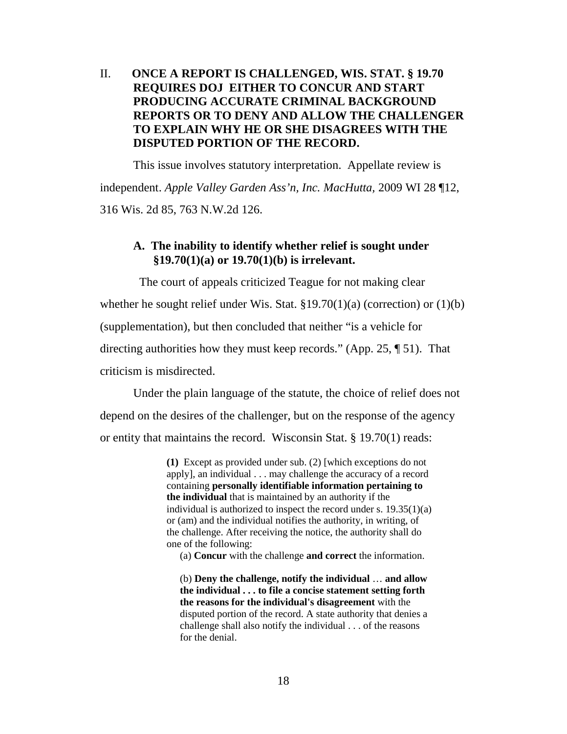## II. **ONCE A REPORT IS CHALLENGED, WIS. STAT. § 19.70 REQUIRES DOJ EITHER TO CONCUR AND START PRODUCING ACCURATE CRIMINAL BACKGROUND REPORTS OR TO DENY AND ALLOW THE CHALLENGER TO EXPLAIN WHY HE OR SHE DISAGREES WITH THE DISPUTED PORTION OF THE RECORD.**

This issue involves statutory interpretation. Appellate review is independent. *Apple Valley Garden Ass'n, Inc. MacHutta,* 2009 WI 28 ¶12, 316 Wis. 2d 85, 763 N.W.2d 126.

## **A. The inability to identify whether relief is sought under §19.70(1)(a) or 19.70(1)(b) is irrelevant.**

 The court of appeals criticized Teague for not making clear whether he sought relief under Wis. Stat.  $\S 19.70(1)(a)$  (correction) or (1)(b) (supplementation), but then concluded that neither "is a vehicle for directing authorities how they must keep records." (App. 25, ¶ 51). That criticism is misdirected.

Under the plain language of the statute, the choice of relief does not depend on the desires of the challenger, but on the response of the agency or entity that maintains the record. Wisconsin Stat. § 19.70(1) reads:

> **(1)** Except as provided under sub. (2) [which exceptions do not apply], an individual . . . may challenge the accuracy of a record containing **personally identifiable information pertaining to the individual** that is maintained by an authority if the individual is authorized to inspect the record under s. 19.35(1)(a) or (am) and the individual notifies the authority, in writing, of the challenge. After receiving the notice, the authority shall do one of the following:

(a) **Concur** with the challenge **and correct** the information.

(b) **Deny the challenge, notify the individual** … **and allow the individual . . . to file a concise statement setting forth the reasons for the individual's disagreement** with the disputed portion of the record. A state authority that denies a challenge shall also notify the individual . . . of the reasons for the denial.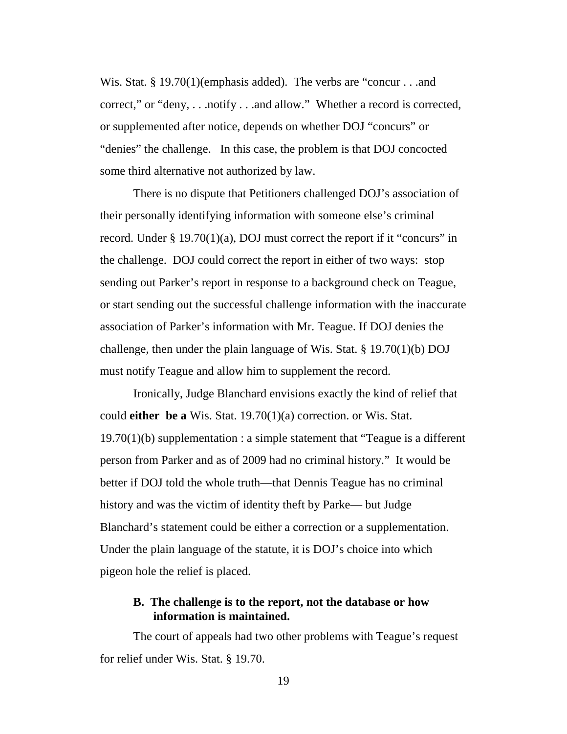Wis. Stat. § 19.70(1)(emphasis added). The verbs are "concur . . .and correct," or "deny, . . .notify . . .and allow." Whether a record is corrected, or supplemented after notice, depends on whether DOJ "concurs" or "denies" the challenge. In this case, the problem is that DOJ concocted some third alternative not authorized by law.

There is no dispute that Petitioners challenged DOJ's association of their personally identifying information with someone else's criminal record. Under  $\S 19.70(1)(a)$ , DOJ must correct the report if it "concurs" in the challenge. DOJ could correct the report in either of two ways: stop sending out Parker's report in response to a background check on Teague, or start sending out the successful challenge information with the inaccurate association of Parker's information with Mr. Teague. If DOJ denies the challenge, then under the plain language of Wis. Stat. § 19.70(1)(b) DOJ must notify Teague and allow him to supplement the record.

Ironically, Judge Blanchard envisions exactly the kind of relief that could **either be a** Wis. Stat. 19.70(1)(a) correction. or Wis. Stat. 19.70(1)(b) supplementation : a simple statement that "Teague is a different person from Parker and as of 2009 had no criminal history." It would be better if DOJ told the whole truth—that Dennis Teague has no criminal history and was the victim of identity theft by Parke— but Judge Blanchard's statement could be either a correction or a supplementation. Under the plain language of the statute, it is DOJ's choice into which pigeon hole the relief is placed.

## **B. The challenge is to the report, not the database or how information is maintained.**

The court of appeals had two other problems with Teague's request for relief under Wis. Stat. § 19.70.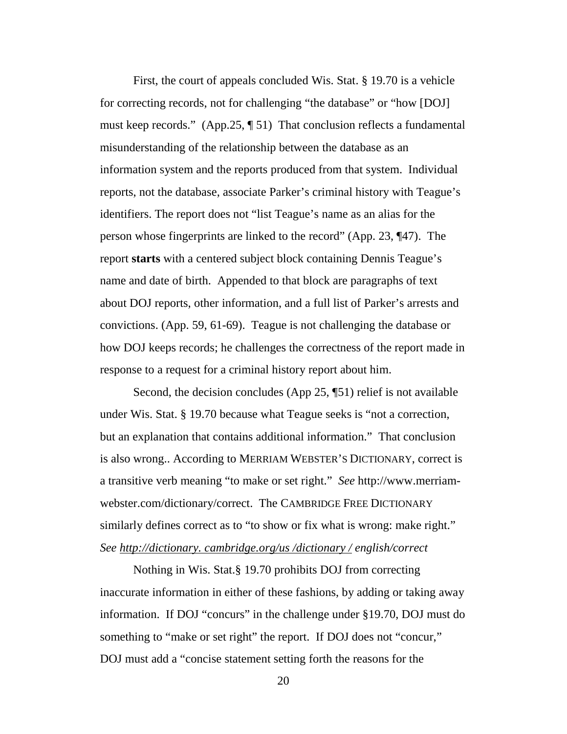First, the court of appeals concluded Wis. Stat. § 19.70 is a vehicle for correcting records, not for challenging "the database" or "how [DOJ] must keep records." (App.25, ¶ 51) That conclusion reflects a fundamental misunderstanding of the relationship between the database as an information system and the reports produced from that system. Individual reports, not the database, associate Parker's criminal history with Teague's identifiers. The report does not "list Teague's name as an alias for the person whose fingerprints are linked to the record" (App. 23, ¶47). The report **starts** with a centered subject block containing Dennis Teague's name and date of birth. Appended to that block are paragraphs of text about DOJ reports, other information, and a full list of Parker's arrests and convictions. (App. 59, 61-69). Teague is not challenging the database or how DOJ keeps records; he challenges the correctness of the report made in response to a request for a criminal history report about him.

Second, the decision concludes (App 25, ¶51) relief is not available under Wis. Stat. § 19.70 because what Teague seeks is "not a correction, but an explanation that contains additional information." That conclusion is also wrong.. According to MERRIAM WEBSTER'S DICTIONARY, correct is a transitive verb meaning "to make or set right." *See* [http://www.merriam](http://www.merriam-webster.com/dictionary/correct)[webster.com/dictionary/correct.](http://www.merriam-webster.com/dictionary/correct) The CAMBRIDGE FREE DICTIONARY similarly defines correct as to "to show or fix what is wrong: make right." *See http://dictionary. cambridge.org/us /dictionary / english/correct*

Nothing in Wis. Stat.§ 19.70 prohibits DOJ from correcting inaccurate information in either of these fashions, by adding or taking away information. If DOJ "concurs" in the challenge under §19.70, DOJ must do something to "make or set right" the report. If DOJ does not "concur," DOJ must add a "concise statement setting forth the reasons for the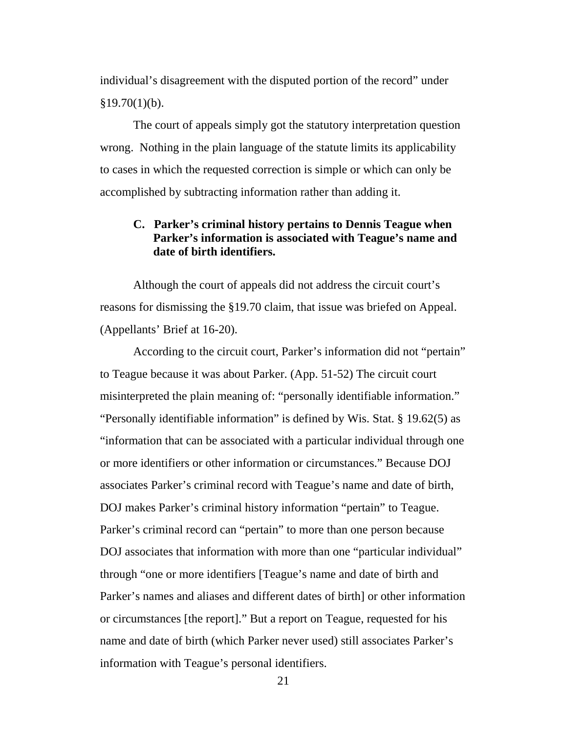individual's disagreement with the disputed portion of the record" under  $§19.70(1)(b).$ 

The court of appeals simply got the statutory interpretation question wrong. Nothing in the plain language of the statute limits its applicability to cases in which the requested correction is simple or which can only be accomplished by subtracting information rather than adding it.

## **C. Parker's criminal history pertains to Dennis Teague when Parker's information is associated with Teague's name and date of birth identifiers.**

Although the court of appeals did not address the circuit court's reasons for dismissing the §19.70 claim, that issue was briefed on Appeal. (Appellants' Brief at 16-20).

According to the circuit court, Parker's information did not "pertain" to Teague because it was about Parker. (App. 51-52) The circuit court misinterpreted the plain meaning of: "personally identifiable information." "Personally identifiable information" is defined by Wis. Stat. § 19.62(5) as "information that can be associated with a particular individual through one or more identifiers or other information or circumstances." Because DOJ associates Parker's criminal record with Teague's name and date of birth, DOJ makes Parker's criminal history information "pertain" to Teague. Parker's criminal record can "pertain" to more than one person because DOJ associates that information with more than one "particular individual" through "one or more identifiers [Teague's name and date of birth and Parker's names and aliases and different dates of birth] or other information or circumstances [the report]." But a report on Teague, requested for his name and date of birth (which Parker never used) still associates Parker's information with Teague's personal identifiers.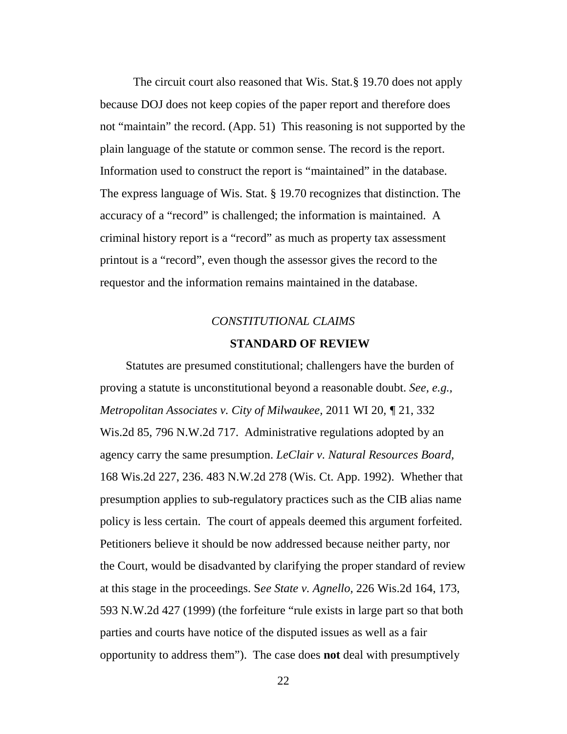The circuit court also reasoned that Wis. Stat.§ 19.70 does not apply because DOJ does not keep copies of the paper report and therefore does not "maintain" the record. (App. 51) This reasoning is not supported by the plain language of the statute or common sense. The record is the report. Information used to construct the report is "maintained" in the database. The express language of Wis. Stat. § 19.70 recognizes that distinction. The accuracy of a "record" is challenged; the information is maintained. A criminal history report is a "record" as much as property tax assessment printout is a "record", even though the assessor gives the record to the requestor and the information remains maintained in the database.

# *CONSTITUTIONAL CLAIMS* **STANDARD OF REVIEW**

Statutes are presumed constitutional; challengers have the burden of proving a statute is unconstitutional beyond a reasonable doubt. *See, e.g., Metropolitan Associates v. City of Milwaukee,* 2011 WI 20*, ¶* 21, 332 Wis.2d 85, 796 N.W.2d 717.Administrative regulations adopted by an agency carry the same presumption. *LeClair v. Natural Resources Board,* 168 Wis.2d 227, 236. 483 N.W.2d 278 (Wis. Ct. App. 1992). Whether that presumption applies to sub-regulatory practices such as the CIB alias name policy is less certain. The court of appeals deemed this argument forfeited. Petitioners believe it should be now addressed because neither party, nor the Court, would be disadvanted by clarifying the proper standard of review at this stage in the proceedings. S*ee State v. Agnello,* 226 Wis.2d 164, 173, 593 N.W.2d 427 (1999) (the forfeiture "rule exists in large part so that both parties and courts have notice of the disputed issues as well as a fair opportunity to address them"). The case does **not** deal with presumptively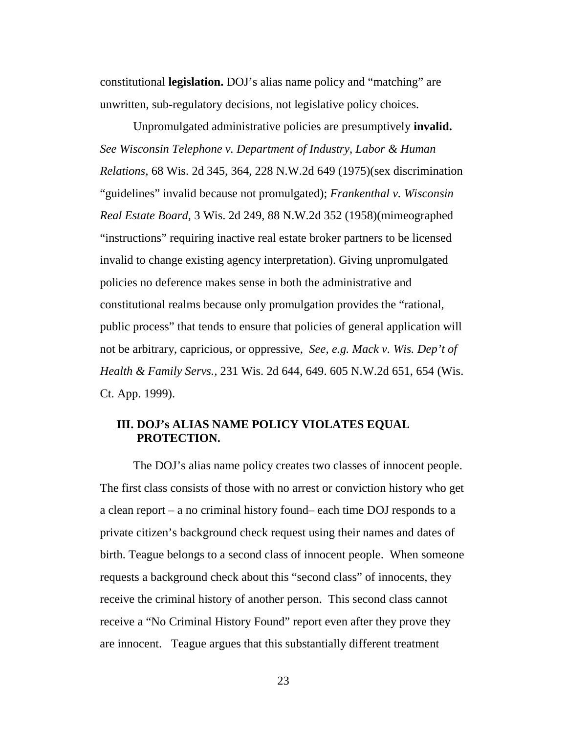constitutional **legislation.** DOJ's alias name policy and "matching" are unwritten, sub-regulatory decisions, not legislative policy choices.

Unpromulgated administrative policies are presumptively **invalid.**  *See Wisconsin Telephone v. Department of Industry, Labor & Human Relations,* 68 Wis. 2d 345, 364, 228 N.W.2d 649 (1975)(sex discrimination "guidelines" invalid because not promulgated); *Frankenthal v. Wisconsin Real Estate Board,* 3 Wis. 2d 249, 88 N.W.2d 352 (1958)(mimeographed "instructions" requiring inactive real estate broker partners to be licensed invalid to change existing agency interpretation). Giving unpromulgated policies no deference makes sense in both the administrative and constitutional realms because only promulgation provides the "rational, public process" that tends to ensure that policies of general application will not be arbitrary, capricious, or oppressive, *See, e.g. Mack v. Wis. Dep't of Health & Family Servs.,* 231 Wis. 2d 644, 649. 605 N.W.2d 651, 654 (Wis. Ct. App. 1999).

## **III. DOJ's ALIAS NAME POLICY VIOLATES EQUAL PROTECTION.**

The DOJ's alias name policy creates two classes of innocent people. The first class consists of those with no arrest or conviction history who get a clean report – a no criminal history found– each time DOJ responds to a private citizen's background check request using their names and dates of birth. Teague belongs to a second class of innocent people. When someone requests a background check about this "second class" of innocents, they receive the criminal history of another person. This second class cannot receive a "No Criminal History Found" report even after they prove they are innocent. Teague argues that this substantially different treatment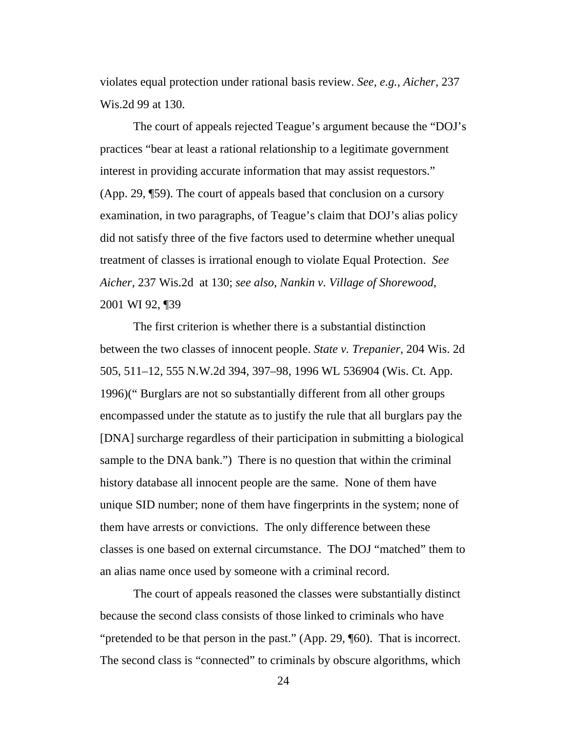violates equal protection under rational basis review. *See, e.g., Aicher*, 237 Wis.2d 99 at 130.

The court of appeals rejected Teague's argument because the "DOJ's practices "bear at least a rational relationship to a legitimate government interest in providing accurate information that may assist requestors." (App. 29, ¶59). The court of appeals based that conclusion on a cursory examination, in two paragraphs, of Teague's claim that DOJ's alias policy did not satisfy three of the five factors used to determine whether unequal treatment of classes is irrational enough to violate Equal Protection. *See Aicher,* 237 Wis.2d at 130; *see also*, *Nankin v. Village of Shorewood*, 2001 WI 92, ¶39

The first criterion is whether there is a substantial distinction between the two classes of innocent people. *State v. Trepanier*, 204 Wis. 2d 505, 511–12, 555 N.W.2d 394, 397–98, 1996 WL 536904 (Wis. Ct. App. 1996)(" Burglars are not so substantially different from all other groups encompassed under the statute as to justify the rule that all burglars pay the [DNA] surcharge regardless of their participation in submitting a biological sample to the DNA bank.") There is no question that within the criminal history database all innocent people are the same. None of them have unique SID number; none of them have fingerprints in the system; none of them have arrests or convictions. The only difference between these classes is one based on external circumstance. The DOJ "matched" them to an alias name once used by someone with a criminal record.

The court of appeals reasoned the classes were substantially distinct because the second class consists of those linked to criminals who have "pretended to be that person in the past." (App. 29, ¶60). That is incorrect. The second class is "connected" to criminals by obscure algorithms, which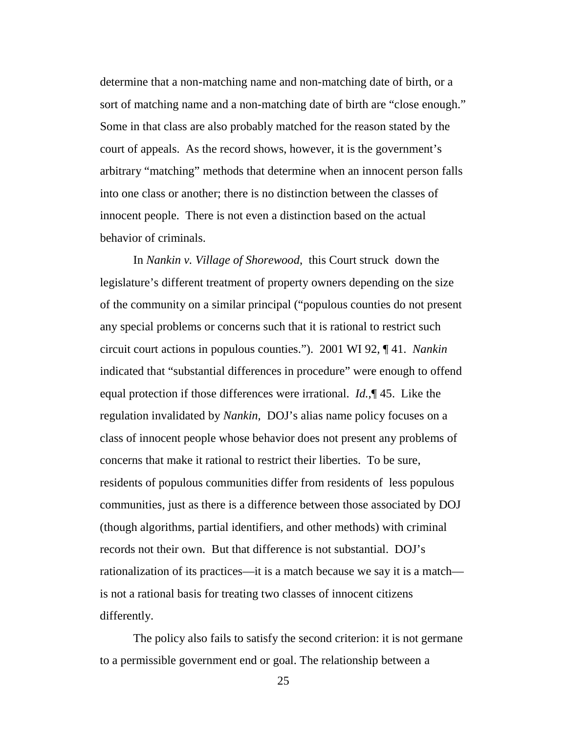determine that a non-matching name and non-matching date of birth, or a sort of matching name and a non-matching date of birth are "close enough." Some in that class are also probably matched for the reason stated by the court of appeals. As the record shows, however, it is the government's arbitrary "matching" methods that determine when an innocent person falls into one class or another; there is no distinction between the classes of innocent people. There is not even a distinction based on the actual behavior of criminals.

In *Nankin v. Village of Shorewood*, this Court struck down the legislature's different treatment of property owners depending on the size of the community on a similar principal ("populous counties do not present any special problems or concerns such that it is rational to restrict such circuit court actions in populous counties."). 2001 WI 92, ¶ 41. *Nankin*  indicated that "substantial differences in procedure" were enough to offend equal protection if those differences were irrational. *Id.,*¶ 45. Like the regulation invalidated by *Nankin,* DOJ's alias name policy focuses on a class of innocent people whose behavior does not present any problems of concerns that make it rational to restrict their liberties. To be sure, residents of populous communities differ from residents of less populous communities, just as there is a difference between those associated by DOJ (though algorithms, partial identifiers, and other methods) with criminal records not their own. But that difference is not substantial. DOJ's rationalization of its practices—it is a match because we say it is a match is not a rational basis for treating two classes of innocent citizens differently.

The policy also fails to satisfy the second criterion: it is not germane to a permissible government end or goal. The relationship between a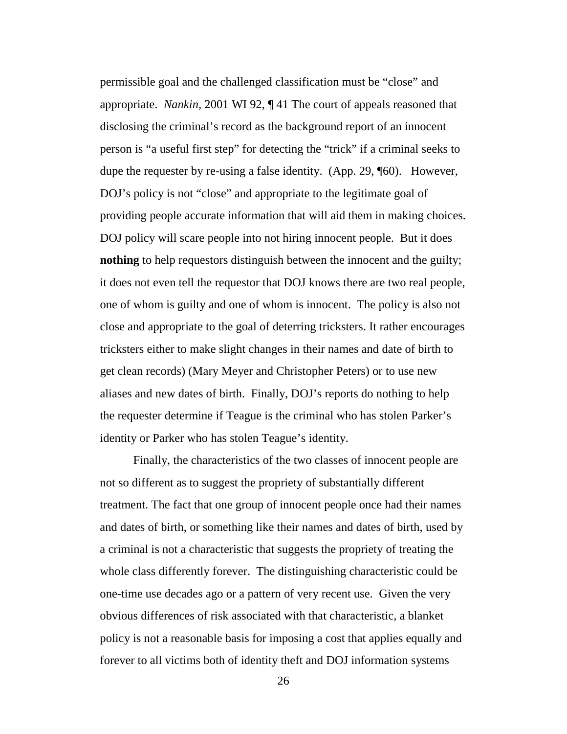permissible goal and the challenged classification must be "close" and appropriate. *Nankin,* 2001 WI 92, ¶ 41 The court of appeals reasoned that disclosing the criminal's record as the background report of an innocent person is "a useful first step" for detecting the "trick" if a criminal seeks to dupe the requester by re-using a false identity. (App. 29, ¶60). However, DOJ's policy is not "close" and appropriate to the legitimate goal of providing people accurate information that will aid them in making choices. DOJ policy will scare people into not hiring innocent people. But it does **nothing** to help requestors distinguish between the innocent and the guilty; it does not even tell the requestor that DOJ knows there are two real people, one of whom is guilty and one of whom is innocent. The policy is also not close and appropriate to the goal of deterring tricksters. It rather encourages tricksters either to make slight changes in their names and date of birth to get clean records) (Mary Meyer and Christopher Peters) or to use new aliases and new dates of birth. Finally, DOJ's reports do nothing to help the requester determine if Teague is the criminal who has stolen Parker's identity or Parker who has stolen Teague's identity.

Finally, the characteristics of the two classes of innocent people are not so different as to suggest the propriety of substantially different treatment. The fact that one group of innocent people once had their names and dates of birth, or something like their names and dates of birth, used by a criminal is not a characteristic that suggests the propriety of treating the whole class differently forever. The distinguishing characteristic could be one-time use decades ago or a pattern of very recent use. Given the very obvious differences of risk associated with that characteristic, a blanket policy is not a reasonable basis for imposing a cost that applies equally and forever to all victims both of identity theft and DOJ information systems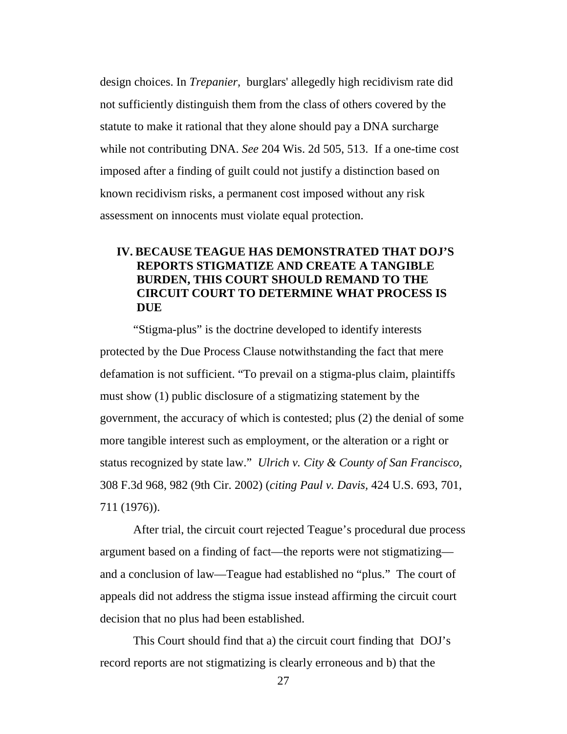design choices. In *Trepanier,* burglars' allegedly high recidivism rate did not sufficiently distinguish them from the class of others covered by the statute to make it rational that they alone should pay a DNA surcharge while not contributing DNA. *See* 204 Wis. 2d 505, 513. If a one-time cost imposed after a finding of guilt could not justify a distinction based on known recidivism risks, a permanent cost imposed without any risk assessment on innocents must violate equal protection.

## **IV. BECAUSE TEAGUE HAS DEMONSTRATED THAT DOJ'S REPORTS STIGMATIZE AND CREATE A TANGIBLE BURDEN, THIS COURT SHOULD REMAND TO THE CIRCUIT COURT TO DETERMINE WHAT PROCESS IS DUE**

"Stigma-plus" is the doctrine developed to identify interests protected by the Due Process Clause notwithstanding the fact that mere defamation is not sufficient. "To prevail on a stigma-plus claim, plaintiffs must show (1) public disclosure of a stigmatizing statement by the government, the accuracy of which is contested; plus (2) the denial of some more tangible interest such as employment, or the alteration or a right or status recognized by state law." *Ulrich v. City & County of San Francisco,*  308 F.3d 968, 982 (9th Cir. 2002) (*citing Paul v. Davis,* 424 U.S. 693, 701, 711 (1976)).

After trial, the circuit court rejected Teague's procedural due process argument based on a finding of fact—the reports were not stigmatizing and a conclusion of law—Teague had established no "plus." The court of appeals did not address the stigma issue instead affirming the circuit court decision that no plus had been established.

This Court should find that a) the circuit court finding that DOJ's record reports are not stigmatizing is clearly erroneous and b) that the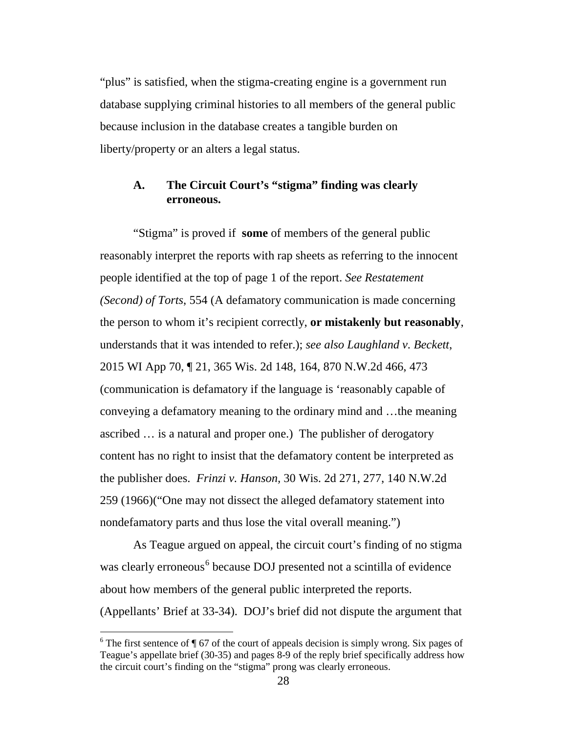"plus" is satisfied, when the stigma-creating engine is a government run database supplying criminal histories to all members of the general public because inclusion in the database creates a tangible burden on liberty/property or an alters a legal status.

## **A. The Circuit Court's "stigma" finding was clearly erroneous.**

"Stigma" is proved if **some** of members of the general public reasonably interpret the reports with rap sheets as referring to the innocent people identified at the top of page 1 of the report. *See Restatement (Second) of Torts*, 554 (A defamatory communication is made concerning the person to whom it's recipient correctly, **or mistakenly but reasonably**, understands that it was intended to refer.); *see also Laughland v. Beckett*, 2015 WI App 70, ¶ 21, 365 Wis. 2d 148, 164, 870 N.W.2d 466, 473 (communication is defamatory if the language is 'reasonably capable of conveying a defamatory meaning to the ordinary mind and …the meaning ascribed … is a natural and proper one.) The publisher of derogatory content has no right to insist that the defamatory content be interpreted as the publisher does. *Frinzi v. Hanson,* 30 Wis. 2d 271, 277, 140 N.W.2d 259 (1966)("One may not dissect the alleged defamatory statement into nondefamatory parts and thus lose the vital overall meaning.")

As Teague argued on appeal, the circuit court's finding of no stigma was clearly erroneous<sup>[6](#page-37-0)</sup> because DOJ presented not a scintilla of evidence about how members of the general public interpreted the reports. (Appellants' Brief at 33-34). DOJ's brief did not dispute the argument that

<span id="page-37-0"></span><sup>&</sup>lt;sup>6</sup> The first sentence of  $\P$  67 of the court of appeals decision is simply wrong. Six pages of Teague's appellate brief (30-35) and pages 8-9 of the reply brief specifically address how the circuit court's finding on the "stigma" prong was clearly erroneous.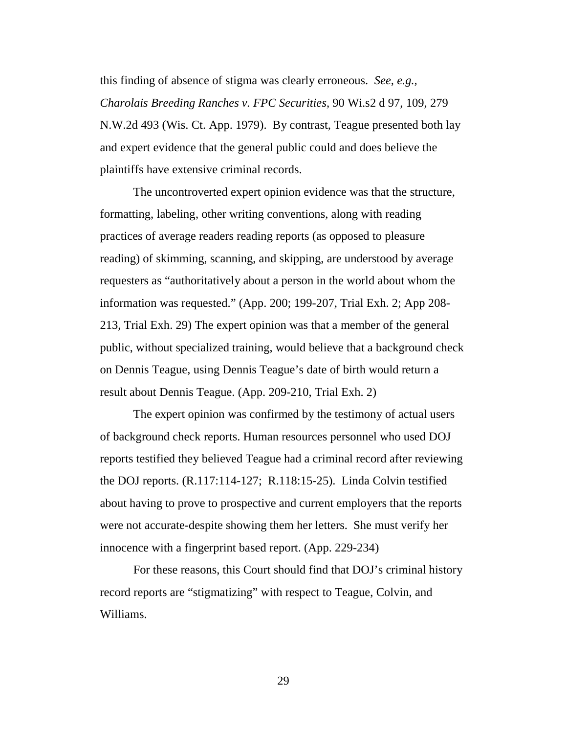this finding of absence of stigma was clearly erroneous. *See, e.g., Charolais Breeding Ranches v. FPC Securities,* 90 Wi.s2 d 97, 109, 279 N.W.2d 493 (Wis. Ct. App. 1979). By contrast, Teague presented both lay and expert evidence that the general public could and does believe the plaintiffs have extensive criminal records.

The uncontroverted expert opinion evidence was that the structure, formatting, labeling, other writing conventions, along with reading practices of average readers reading reports (as opposed to pleasure reading) of skimming, scanning, and skipping, are understood by average requesters as "authoritatively about a person in the world about whom the information was requested." (App. 200; 199-207, Trial Exh. 2; App 208- 213, Trial Exh. 29) The expert opinion was that a member of the general public, without specialized training, would believe that a background check on Dennis Teague, using Dennis Teague's date of birth would return a result about Dennis Teague. (App. 209-210, Trial Exh. 2)

The expert opinion was confirmed by the testimony of actual users of background check reports. Human resources personnel who used DOJ reports testified they believed Teague had a criminal record after reviewing the DOJ reports. (R.117:114-127; R.118:15-25). Linda Colvin testified about having to prove to prospective and current employers that the reports were not accurate-despite showing them her letters. She must verify her innocence with a fingerprint based report. (App. 229-234)

For these reasons, this Court should find that DOJ's criminal history record reports are "stigmatizing" with respect to Teague, Colvin, and Williams.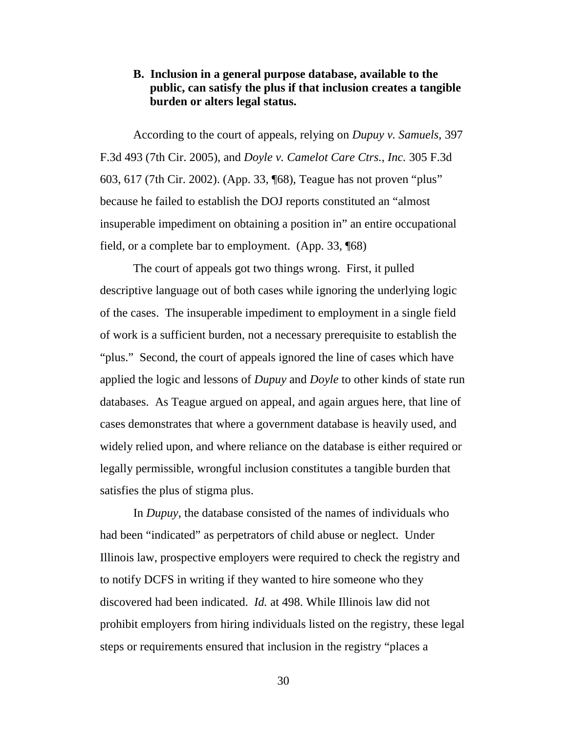## **B. Inclusion in a general purpose database, available to the public, can satisfy the plus if that inclusion creates a tangible burden or alters legal status.**

According to the court of appeals, relying on *Dupuy v. Samuels,* 397 F.3d 493 (7th Cir. 2005), and *Doyle v. Camelot Care Ctrs., Inc.* 305 F.3d 603, 617 (7th Cir. 2002). (App. 33, ¶68), Teague has not proven "plus" because he failed to establish the DOJ reports constituted an "almost insuperable impediment on obtaining a position in" an entire occupational field, or a complete bar to employment. (App. 33, ¶68)

The court of appeals got two things wrong. First, it pulled descriptive language out of both cases while ignoring the underlying logic of the cases. The insuperable impediment to employment in a single field of work is a sufficient burden, not a necessary prerequisite to establish the "plus." Second, the court of appeals ignored the line of cases which have applied the logic and lessons of *Dupuy* and *Doyle* to other kinds of state run databases. As Teague argued on appeal, and again argues here, that line of cases demonstrates that where a government database is heavily used, and widely relied upon, and where reliance on the database is either required or legally permissible, wrongful inclusion constitutes a tangible burden that satisfies the plus of stigma plus.

In *Dupuy*, the database consisted of the names of individuals who had been "indicated" as perpetrators of child abuse or neglect. Under Illinois law, prospective employers were required to check the registry and to notify DCFS in writing if they wanted to hire someone who they discovered had been indicated. *Id.* at 498. While Illinois law did not prohibit employers from hiring individuals listed on the registry, these legal steps or requirements ensured that inclusion in the registry "places a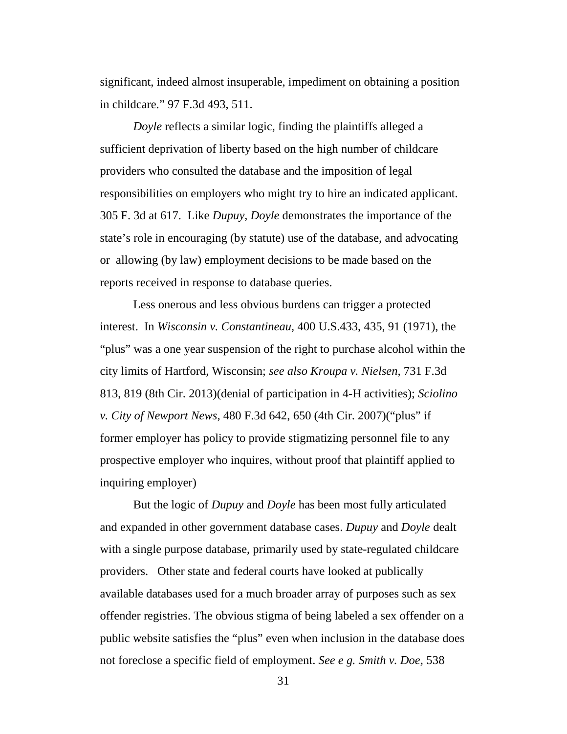significant, indeed almost insuperable, impediment on obtaining a position in childcare." 97 F.3d 493, 511.

*Doyle* reflects a similar logic, finding the plaintiffs alleged a sufficient deprivation of liberty based on the high number of childcare providers who consulted the database and the imposition of legal responsibilities on employers who might try to hire an indicated applicant. 305 F. 3d at 617. Like *Dupuy*, *Doyle* demonstrates the importance of the state's role in encouraging (by statute) use of the database, and advocating or allowing (by law) employment decisions to be made based on the reports received in response to database queries.

Less onerous and less obvious burdens can trigger a protected interest. In *Wisconsin v. Constantineau,* 400 U.S.433, 435, 91 (1971), the "plus" was a one year suspension of the right to purchase alcohol within the city limits of Hartford, Wisconsin; *see also Kroupa v. Nielsen,* 731 F.3d 813, 819 (8th Cir. 2013)(denial of participation in 4-H activities); *Sciolino v. City of Newport News,* 480 F.3d 642, 650 (4th Cir. 2007)("plus" if former employer has policy to provide stigmatizing personnel file to any prospective employer who inquires, without proof that plaintiff applied to inquiring employer)

But the logic of *Dupuy* and *Doyle* has been most fully articulated and expanded in other government database cases. *Dupuy* and *Doyle* dealt with a single purpose database, primarily used by state-regulated childcare providers. Other state and federal courts have looked at publically available databases used for a much broader array of purposes such as sex offender registries. The obvious stigma of being labeled a sex offender on a public website satisfies the "plus" even when inclusion in the database does not foreclose a specific field of employment. *See e g. Smith v. Doe,* 538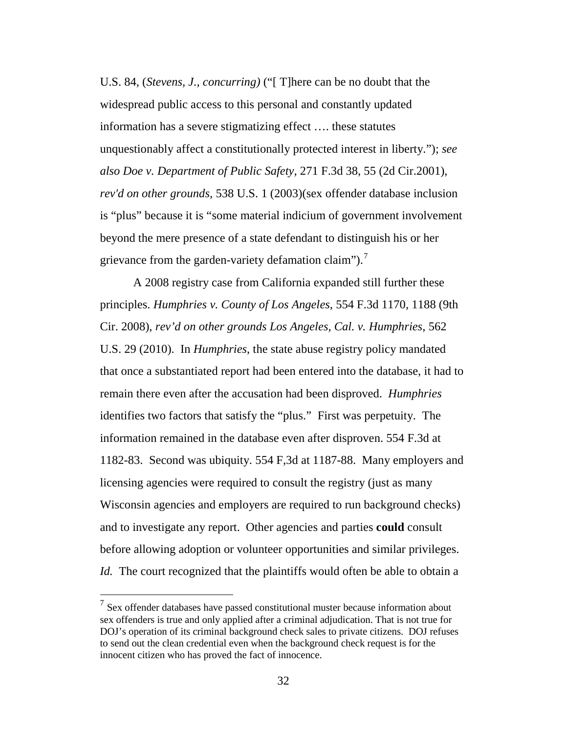U.S. 84, (*Stevens, J., concurring)* ("[ T]here can be no doubt that the widespread public access to this personal and constantly updated information has a severe stigmatizing effect …. these statutes unquestionably affect a constitutionally protected interest in liberty."); *see also Doe v. Department of Public Safety,* 271 F.3d 38, 55 (2d Cir.2001), *rev'd on other grounds,* 538 U.S. 1 (2003)(sex offender database inclusion is "plus" because it is "some material indicium of government involvement beyond the mere presence of a state defendant to distinguish his or her grievance from the garden-variety defamation claim").<sup>[7](#page-41-0)</sup>

A 2008 registry case from California expanded still further these principles. *Humphries v. County of Los Angeles*, 554 F.3d 1170, 1188 (9th Cir. 2008), *rev'd on other grounds Los Angeles, Cal. v. Humphries*, 562 U.S. 29 (2010). In *Humphries*, the state abuse registry policy mandated that once a substantiated report had been entered into the database, it had to remain there even after the accusation had been disproved. *Humphries* identifies two factors that satisfy the "plus." First was perpetuity. The information remained in the database even after disproven. 554 F.3d at 1182-83. Second was ubiquity. 554 F,3d at 1187-88. Many employers and licensing agencies were required to consult the registry (just as many Wisconsin agencies and employers are required to run background checks) and to investigate any report. Other agencies and parties **could** consult before allowing adoption or volunteer opportunities and similar privileges. *Id.* The court recognized that the plaintiffs would often be able to obtain a

<span id="page-41-0"></span> $<sup>7</sup>$  Sex offender databases have passed constitutional muster because information about</sup> sex offenders is true and only applied after a criminal adjudication. That is not true for DOJ's operation of its criminal background check sales to private citizens. DOJ refuses to send out the clean credential even when the background check request is for the innocent citizen who has proved the fact of innocence.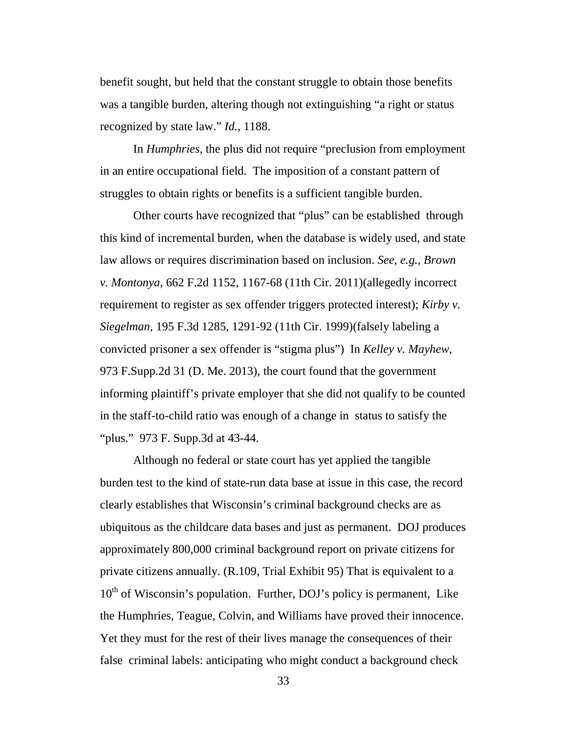benefit sought, but held that the constant struggle to obtain those benefits was a tangible burden, altering though not extinguishing "a right or status recognized by state law." *Id.*, 1188.

In *Humphries*, the plus did not require "preclusion from employment in an entire occupational field. The imposition of a constant pattern of struggles to obtain rights or benefits is a sufficient tangible burden.

Other courts have recognized that "plus" can be established through this kind of incremental burden, when the database is widely used, and state law allows or requires discrimination based on inclusion. *See, e.g., Brown v. Montonya*, 662 F.2d 1152, 1167-68 (11th Cir. 2011)(allegedly incorrect requirement to register as sex offender triggers protected interest); *Kirby v. Siegelman,* 195 F.3d 1285, 1291-92 (11th Cir. 1999)(falsely labeling a convicted prisoner a sex offender is "stigma plus") In *Kelley v. Mayhew,*  973 F.Supp.2d 31 (D. Me. 2013), the court found that the government informing plaintiff's private employer that she did not qualify to be counted in the staff-to-child ratio was enough of a change in status to satisfy the "plus." 973 F. Supp.3d at 43-44.

Although no federal or state court has yet applied the tangible burden test to the kind of state-run data base at issue in this case, the record clearly establishes that Wisconsin's criminal background checks are as ubiquitous as the childcare data bases and just as permanent. DOJ produces approximately 800,000 criminal background report on private citizens for private citizens annually. (R.109, Trial Exhibit 95) That is equivalent to a 10<sup>th</sup> of Wisconsin's population. Further, DOJ's policy is permanent, Like the Humphries, Teague, Colvin, and Williams have proved their innocence. Yet they must for the rest of their lives manage the consequences of their false criminal labels: anticipating who might conduct a background check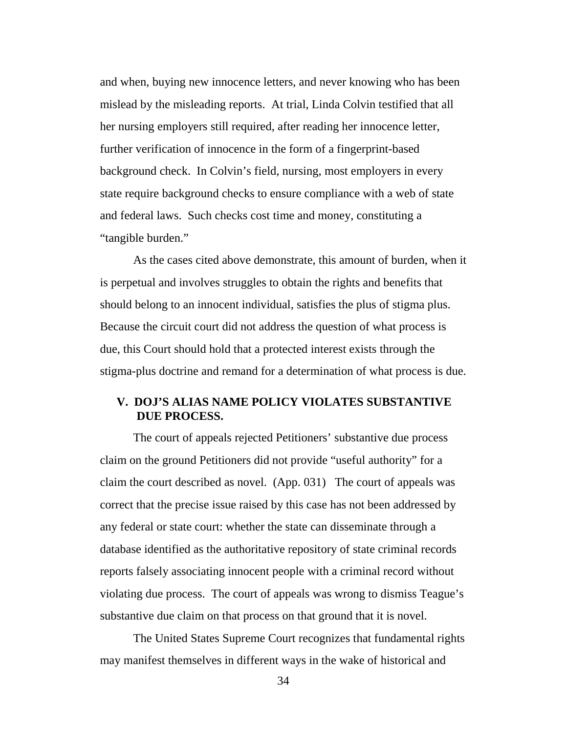and when, buying new innocence letters, and never knowing who has been mislead by the misleading reports. At trial, Linda Colvin testified that all her nursing employers still required, after reading her innocence letter, further verification of innocence in the form of a fingerprint-based background check. In Colvin's field, nursing, most employers in every state require background checks to ensure compliance with a web of state and federal laws. Such checks cost time and money, constituting a "tangible burden."

As the cases cited above demonstrate, this amount of burden, when it is perpetual and involves struggles to obtain the rights and benefits that should belong to an innocent individual, satisfies the plus of stigma plus. Because the circuit court did not address the question of what process is due, this Court should hold that a protected interest exists through the stigma-plus doctrine and remand for a determination of what process is due.

## **V. DOJ'S ALIAS NAME POLICY VIOLATES SUBSTANTIVE DUE PROCESS.**

The court of appeals rejected Petitioners' substantive due process claim on the ground Petitioners did not provide "useful authority" for a claim the court described as novel. (App. 031) The court of appeals was correct that the precise issue raised by this case has not been addressed by any federal or state court: whether the state can disseminate through a database identified as the authoritative repository of state criminal records reports falsely associating innocent people with a criminal record without violating due process. The court of appeals was wrong to dismiss Teague's substantive due claim on that process on that ground that it is novel.

The United States Supreme Court recognizes that fundamental rights may manifest themselves in different ways in the wake of historical and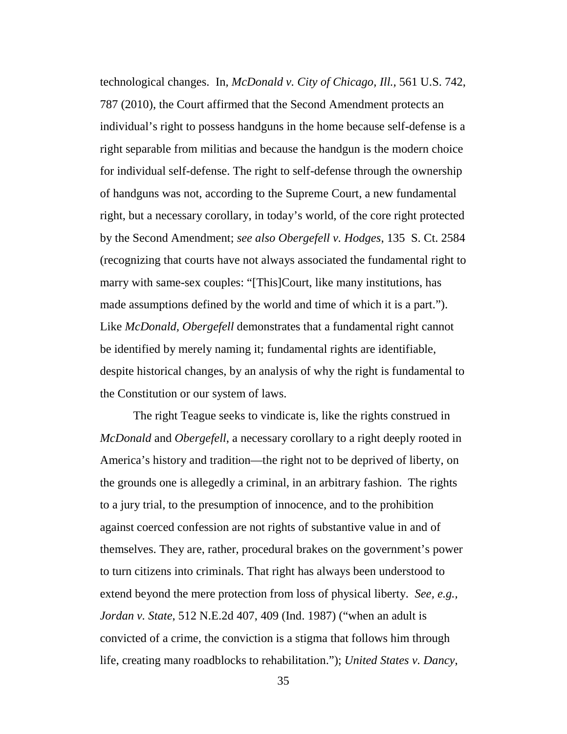technological changes. In*, McDonald v. City of Chicago, Ill.,* 561 U.S. 742, 787 (2010), the Court affirmed that the Second Amendment protects an individual's right to possess handguns in the home because self-defense is a right separable from militias and because the handgun is the modern choice for individual self-defense. The right to self-defense through the ownership of handguns was not, according to the Supreme Court, a new fundamental right, but a necessary corollary, in today's world, of the core right protected by the Second Amendment; *see also Obergefell v. Hodges*, 135 S. Ct. 2584 (recognizing that courts have not always associated the fundamental right to marry with same-sex couples: "[This]Court, like many institutions, has made assumptions defined by the world and time of which it is a part."). Like *McDonald, Obergefell* demonstrates that a fundamental right cannot be identified by merely naming it; fundamental rights are identifiable, despite historical changes, by an analysis of why the right is fundamental to the Constitution or our system of laws.

The right Teague seeks to vindicate is, like the rights construed in *McDonald* and *Obergefell*, a necessary corollary to a right deeply rooted in America's history and tradition—the right not to be deprived of liberty, on the grounds one is allegedly a criminal, in an arbitrary fashion. The rights to a jury trial, to the presumption of innocence, and to the prohibition against coerced confession are not rights of substantive value in and of themselves. They are, rather, procedural brakes on the government's power to turn citizens into criminals. That right has always been understood to extend beyond the mere protection from loss of physical liberty. *See, e.g., Jordan v. State*, 512 N.E.2d 407, 409 (Ind. 1987) ("when an adult is convicted of a crime, the conviction is a stigma that follows him through life, creating many roadblocks to rehabilitation."); *United States v. Dancy*,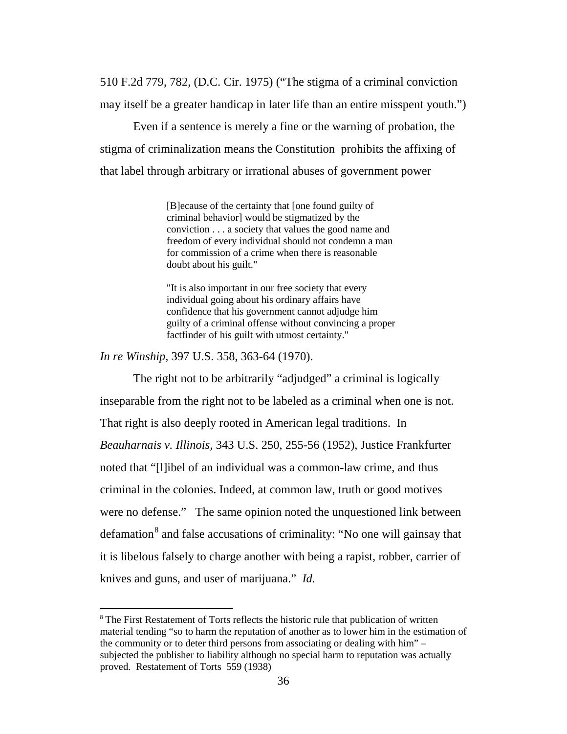510 F.2d 779, 782, (D.C. Cir. 1975) ("The stigma of a criminal conviction may itself be a greater handicap in later life than an entire misspent youth.")

Even if a sentence is merely a fine or the warning of probation, the stigma of criminalization means the Constitution prohibits the affixing of that label through arbitrary or irrational abuses of government power

> [B]ecause of the certainty that [one found guilty of criminal behavior] would be stigmatized by the conviction . . . a society that values the good name and freedom of every individual should not condemn a man for commission of a crime when there is reasonable doubt about his guilt."

"It is also important in our free society that every individual going about his ordinary affairs have confidence that his government cannot adjudge him guilty of a criminal offense without convincing a proper factfinder of his guilt with utmost certainty."

*In re Winship*, 397 U.S. 358, 363-64 (1970).

The right not to be arbitrarily "adjudged" a criminal is logically inseparable from the right not to be labeled as a criminal when one is not. That right is also deeply rooted in American legal traditions. In *Beauharnais v. Illinois,* 343 U.S. 250, 255-56 (1952), Justice Frankfurter noted that "[l]ibel of an individual was a common-law crime, and thus criminal in the colonies. Indeed, at common law, truth or good motives were no defense." The same opinion noted the unquestioned link between defamation<sup>[8](#page-45-0)</sup> and false accusations of criminality: "No one will gainsay that it is libelous falsely to charge another with being a rapist, robber, carrier of knives and guns, and user of marijuana." *Id.* 

<span id="page-45-0"></span><sup>&</sup>lt;sup>8</sup> The First Restatement of Torts reflects the historic rule that publication of written material tending "so to harm the reputation of another as to lower him in the estimation of the community or to deter third persons from associating or dealing with him" – subjected the publisher to liability although no special harm to reputation was actually proved. Restatement of Torts 559 (1938)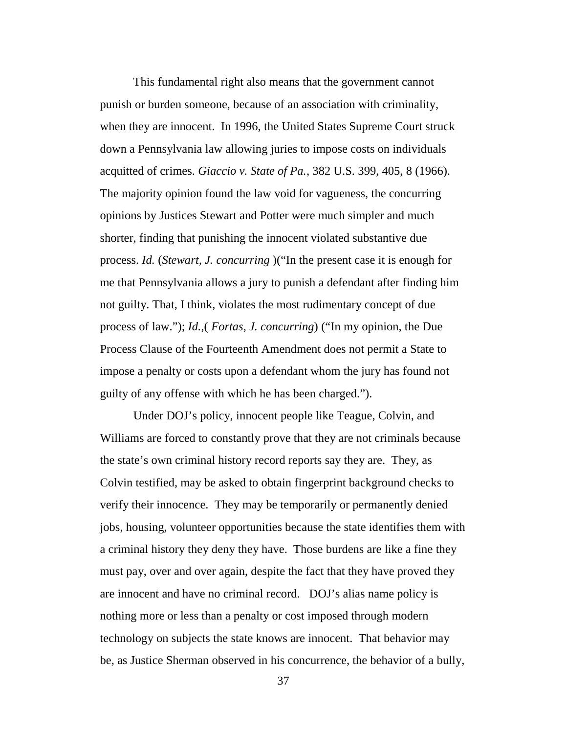This fundamental right also means that the government cannot punish or burden someone, because of an association with criminality, when they are innocent. In 1996, the United States Supreme Court struck down a Pennsylvania law allowing juries to impose costs on individuals acquitted of crimes. *Giaccio v. State of Pa.*, 382 U.S. 399, 405, 8 (1966). The majority opinion found the law void for vagueness, the concurring opinions by Justices Stewart and Potter were much simpler and much shorter, finding that punishing the innocent violated substantive due process. *Id.* (*Stewart, J. concurring* )("In the present case it is enough for me that Pennsylvania allows a jury to punish a defendant after finding him not guilty. That, I think, violates the most rudimentary concept of due process of law."); *Id.,*( *Fortas, J. concurring*) ("In my opinion, the Due Process Clause of the Fourteenth Amendment does not permit a State to impose a penalty or costs upon a defendant whom the jury has found not guilty of any offense with which he has been charged.").

Under DOJ's policy, innocent people like Teague, Colvin, and Williams are forced to constantly prove that they are not criminals because the state's own criminal history record reports say they are. They, as Colvin testified, may be asked to obtain fingerprint background checks to verify their innocence. They may be temporarily or permanently denied jobs, housing, volunteer opportunities because the state identifies them with a criminal history they deny they have. Those burdens are like a fine they must pay, over and over again, despite the fact that they have proved they are innocent and have no criminal record. DOJ's alias name policy is nothing more or less than a penalty or cost imposed through modern technology on subjects the state knows are innocent. That behavior may be, as Justice Sherman observed in his concurrence, the behavior of a bully,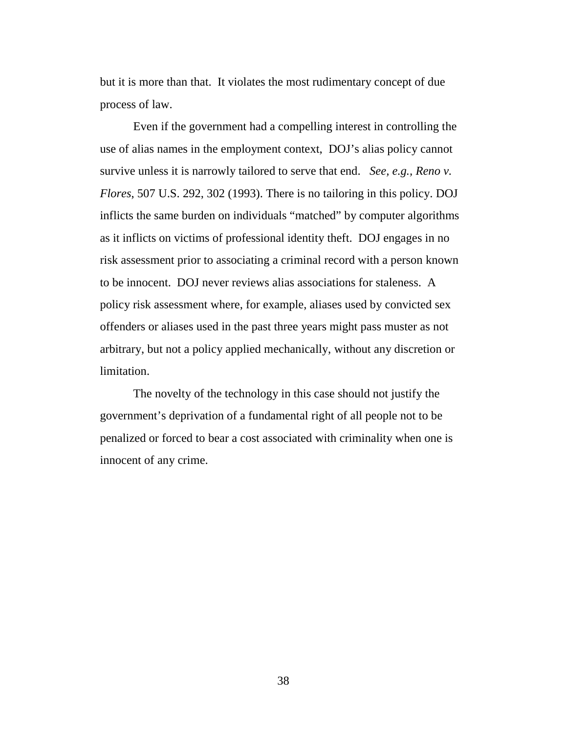but it is more than that. It violates the most rudimentary concept of due process of law.

Even if the government had a compelling interest in controlling the use of alias names in the employment context, DOJ's alias policy cannot survive unless it is narrowly tailored to serve that end. *See, e.g., Reno v. Flores*, 507 U.S. 292, 302 (1993). There is no tailoring in this policy. DOJ inflicts the same burden on individuals "matched" by computer algorithms as it inflicts on victims of professional identity theft. DOJ engages in no risk assessment prior to associating a criminal record with a person known to be innocent. DOJ never reviews alias associations for staleness. A policy risk assessment where, for example, aliases used by convicted sex offenders or aliases used in the past three years might pass muster as not arbitrary, but not a policy applied mechanically, without any discretion or limitation.

The novelty of the technology in this case should not justify the government's deprivation of a fundamental right of all people not to be penalized or forced to bear a cost associated with criminality when one is innocent of any crime.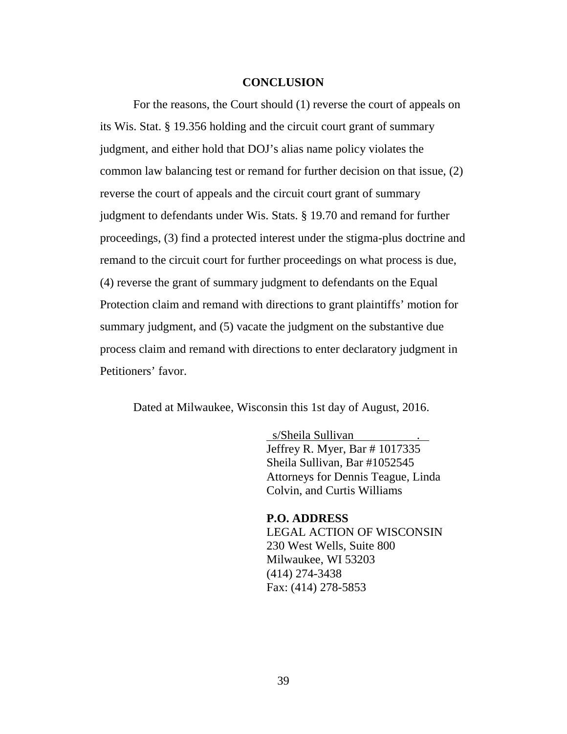#### **CONCLUSION**

For the reasons, the Court should (1) reverse the court of appeals on its Wis. Stat. § 19.356 holding and the circuit court grant of summary judgment, and either hold that DOJ's alias name policy violates the common law balancing test or remand for further decision on that issue, (2) reverse the court of appeals and the circuit court grant of summary judgment to defendants under Wis. Stats. § 19.70 and remand for further proceedings, (3) find a protected interest under the stigma-plus doctrine and remand to the circuit court for further proceedings on what process is due, (4) reverse the grant of summary judgment to defendants on the Equal Protection claim and remand with directions to grant plaintiffs' motion for summary judgment, and (5) vacate the judgment on the substantive due process claim and remand with directions to enter declaratory judgment in Petitioners' favor.

Dated at Milwaukee, Wisconsin this 1st day of August, 2016.

s/Sheila Sullivan Jeffrey R. Myer, Bar # 1017335 Sheila Sullivan, Bar #1052545 Attorneys for Dennis Teague, Linda Colvin, and Curtis Williams

**P.O. ADDRESS** LEGAL ACTION OF WISCONSIN 230 West Wells, Suite 800 Milwaukee, WI 53203 (414) 274-3438 Fax: (414) 278-5853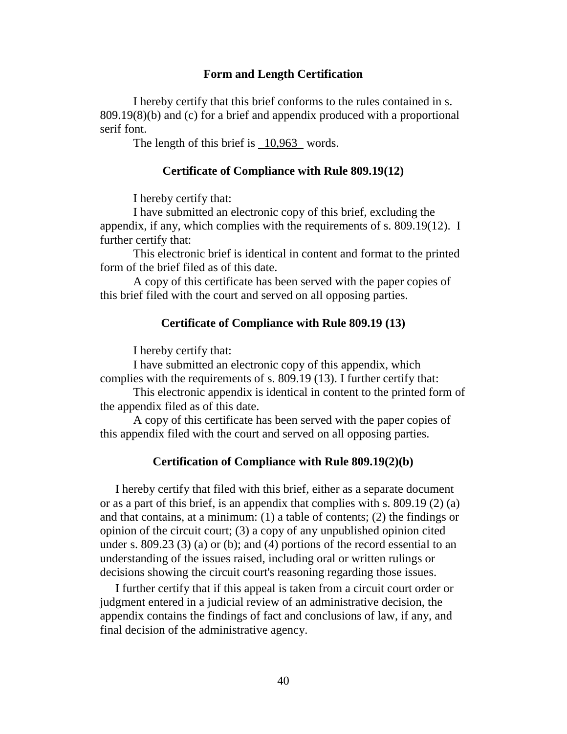#### **Form and Length Certification**

I hereby certify that this brief conforms to the rules contained in s. 809.19(8)(b) and (c) for a brief and appendix produced with a proportional serif font.

The length of this brief is  $10,963$  words.

#### **Certificate of Compliance with Rule 809.19(12)**

I hereby certify that:

I have submitted an electronic copy of this brief, excluding the appendix, if any, which complies with the requirements of s. 809.19(12). I further certify that:

This electronic brief is identical in content and format to the printed form of the brief filed as of this date.

A copy of this certificate has been served with the paper copies of this brief filed with the court and served on all opposing parties.

## **Certificate of Compliance with Rule 809.19 (13)**

I hereby certify that:

I have submitted an electronic copy of this appendix, which complies with the requirements of s. 809.19 (13). I further certify that:

This electronic appendix is identical in content to the printed form of the appendix filed as of this date.

A copy of this certificate has been served with the paper copies of this appendix filed with the court and served on all opposing parties.

#### **Certification of Compliance with Rule 809.19(2)(b)**

I hereby certify that filed with this brief, either as a separate document or as a part of this brief, is an appendix that complies with s. [809.19 \(2\) \(a\)](http://docs.legis.wisconsin.gov/document/statutes/809.19(2)(a)) and that contains, at a minimum: (1) a table of contents; (2) the findings or opinion of the circuit court; (3) a copy of any unpublished opinion cited under s. [809.23 \(3\) \(a\)](http://docs.legis.wisconsin.gov/document/statutes/809.23(3)(a)) or [\(b\);](http://docs.legis.wisconsin.gov/document/statutes/809.23(3)(b)) and [\(4\)](http://docs.legis.wisconsin.gov/document/statutes/809.23(4)) portions of the record essential to an understanding of the issues raised, including oral or written rulings or decisions showing the circuit court's reasoning regarding those issues.

I further certify that if this appeal is taken from a circuit court order or judgment entered in a judicial review of an administrative decision, the appendix contains the findings of fact and conclusions of law, if any, and final decision of the administrative agency.